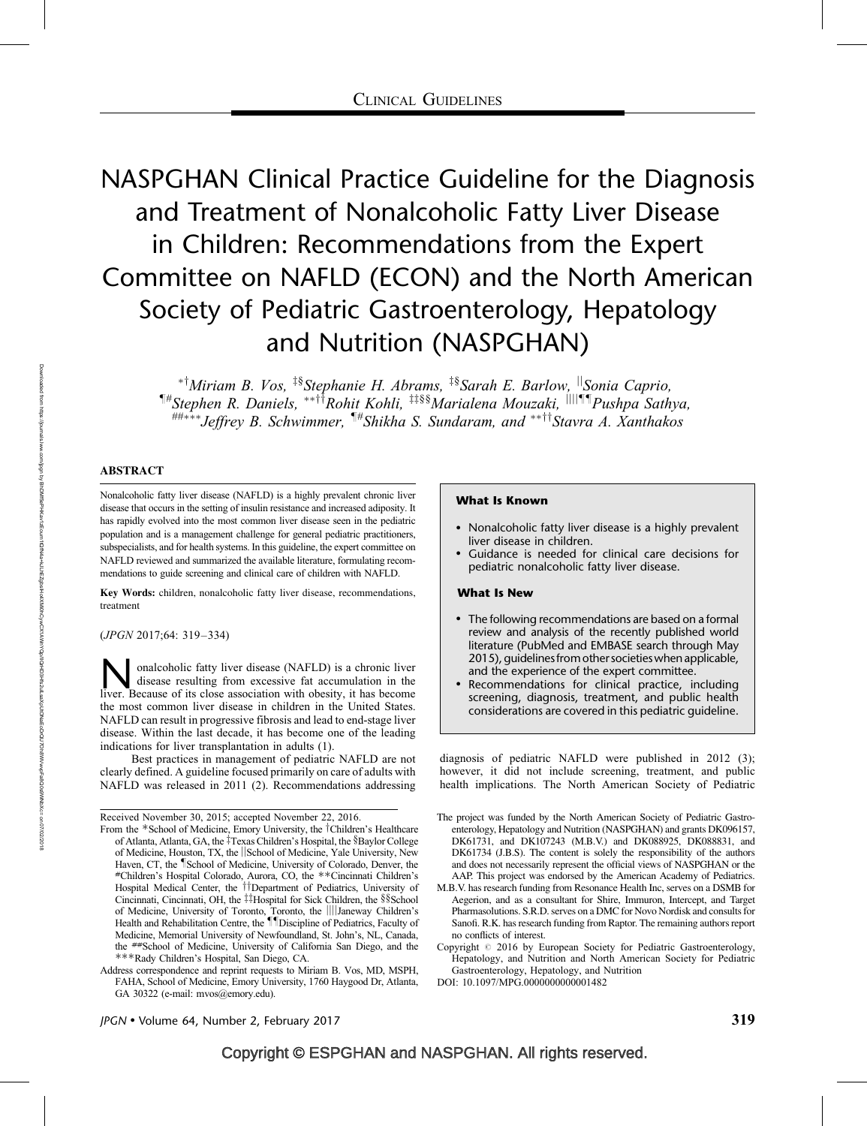# NASPGHAN Clinical Practice Guideline for the Diagnosis and Treatment of Nonalcoholic Fatty Liver Disease in Children: Recommendations from the Expert Committee on NAFLD (ECON) and the North American Society of Pediatric Gastroenterology, Hepatology and Nutrition (NASPGHAN)

\*<sup>†</sup>Miriam B. Vos, <sup>‡§</sup>Stephanie H. Abrams, <sup>‡§</sup>Sarah E. Barlow, <sup>||</sup>Sonia Caprio,  $\P^*$ Stephen R. Daniels, \*\*<sup>††</sup>Rohit Kohli, <sup>‡‡§§</sup>Marialena Mouzaki, <sup>||||¶¶</sup>Pushpa Sathya, ##\*\*\*Jeffrey B. Schwimmer,  $\P^*$ Shikha S. Sundaram, and \*\*<sup>††</sup>Stavra A. Xanthakos

# ABSTRACT

Nonalcoholic fatty liver disease (NAFLD) is a highly prevalent chronic liver disease that occurs in the setting of insulin resistance and increased adiposity. It has rapidly evolved into the most common liver disease seen in the pediatric population and is a management challenge for general pediatric practitioners, subspecialists, and for health systems. In this guideline, the expert committee on NAFLD reviewed and summarized the available literature, formulating recommendations to guide screening and clinical care of children with NAFLD.

Key Words: children, nonalcoholic fatty liver disease, recommendations, treatment

(JPGN 2017;64: 319–334)

**Nonalcoholic fatty liver disease (NAFLD) is a chronic liver** disease resulting from excessive fat accumulation in the liver. Because of its close association with obesity, it has become disease resulting from excessive fat accumulation in the the most common liver disease in children in the United States. NAFLD can result in progressive fibrosis and lead to end-stage liver disease. Within the last decade, it has become one of the leading indications for liver transplantation in adults (1).

Best practices in management of pediatric NAFLD are not clearly defined. A guideline focused primarily on care of adults with NAFLD was released in 2011 (2). Recommendations addressing

#### What Is Known

- Nonalcoholic fatty liver disease is a highly prevalent liver disease in children.
- Guidance is needed for clinical care decisions for pediatric nonalcoholic fatty liver disease.

#### What Is New

- The following recommendations are based on a formal review and analysis of the recently published world literature (PubMed and EMBASE search through May 2015), guidelinesfrom other societies when applicable, and the experience of the expert committee.
- Recommendations for clinical practice, including screening, diagnosis, treatment, and public health considerations are covered in this pediatric guideline.

diagnosis of pediatric NAFLD were published in 2012 (3); however, it did not include screening, treatment, and public health implications. The North American Society of Pediatric

DOI: [10.1097/MPG.0000000000001482](http://dx.doi.org/10.1097/MPG.0000000000001482)

 $\text{IPGN}\bullet\text{Volume }64$ , Number 2, February 2017 319

Received November 30, 2015; accepted November 22, 2016.

From the \*School of Medicine, Emory University, the <sup>†</sup>Children's Healthcare of Atlanta, Atlanta, GA, the ‡Texas Children's Hospital, the §Baylor College of Medicine, Houston, TX, the *School of Medicine*, Yale University, New Haven, CT, the *School of Medicine*, University of Colorado, Denver, the Haven, CT, the ¶School of Medicine, University of Colorado, Denver, the \*Children's Hospital Colorado, Aurora, CO, the \*\*Cincinnati Children's Hospital Medical Center, the <sup>††</sup>Department of Pediatrics, University of Cincinnati, Cincinnati, OH, the ‡‡Hospital for Sick Children, the §§School of Medicine, University of Toronto, Toronto, the ||||Janeway Children's Health and Rehabilitation Centre, the **IID**iscipline of Pediatrics, Faculty of Medicine, Memorial University of Newfoundland, St. John's, NL, Canada, the ##School of Medicine, University of California San Diego, and the --Rady Children's Hospital, San Diego, CA.

Address correspondence and reprint requests to Miriam B. Vos, MD, MSPH, FAHA, School of Medicine, Emory University, 1760 Haygood Dr, Atlanta, GA 30322 (e-mail: [mvos@emory.edu](mailto:mvos@emory.edu)).

The project was funded by the North American Society of Pediatric Gastroenterology, Hepatology and Nutrition (NASPGHAN) and grants DK096157, DK61731, and DK107243 (M.B.V.) and DK088925, DK088831, and DK61734 (J.B.S). The content is solely the responsibility of the authors and does not necessarily represent the official views of NASPGHAN or the AAP. This project was endorsed by the American Academy of Pediatrics.

M.B.V. has research funding from Resonance Health Inc, serves on a DSMB for Aegerion, and as a consultant for Shire, Immuron, Intercept, and Target Pharmasolutions. S.R.D. serves on a DMC for Novo Nordisk and consults for Sanofi. R.K. has research funding from Raptor. The remaining authors report no conflicts of interest.

Copyright  $@$  2016 by European Society for Pediatric Gastroenterology, Hepatology, and Nutrition and North American Society for Pediatric Gastroenterology, Hepatology, and Nutrition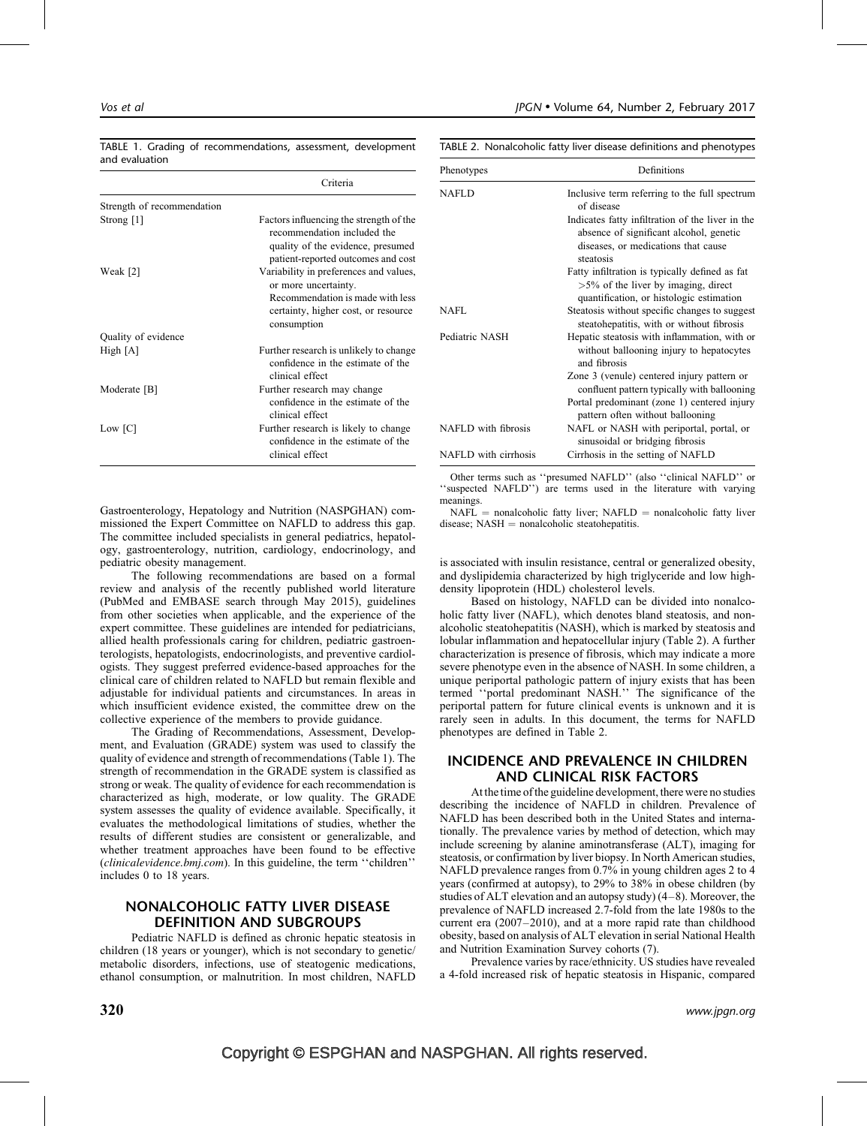| TABLE 1. Grading of recommendations, assessment, development |  |  |
|--------------------------------------------------------------|--|--|
| and evaluation                                               |  |  |

TABLE 2. Nonalcoholic fatty liver disease definitions and phenotypes

|                            | Criteria                                                                                                                                                 |
|----------------------------|----------------------------------------------------------------------------------------------------------------------------------------------------------|
| Strength of recommendation |                                                                                                                                                          |
| Strong $[1]$               | Factors influencing the strength of the<br>recommendation included the<br>quality of the evidence, presumed<br>patient-reported outcomes and cost        |
| Weak [2]                   | Variability in preferences and values,<br>or more uncertainty.<br>Recommendation is made with less<br>certainty, higher cost, or resource<br>consumption |
| Quality of evidence        |                                                                                                                                                          |
| High $[A]$                 | Further research is unlikely to change<br>confidence in the estimate of the<br>clinical effect                                                           |
| Moderate [B]               | Further research may change<br>confidence in the estimate of the<br>clinical effect                                                                      |
| Low [C]                    | Further research is likely to change<br>confidence in the estimate of the<br>clinical effect                                                             |

Gastroenterology, Hepatology and Nutrition (NASPGHAN) commissioned the Expert Committee on NAFLD to address this gap. The committee included specialists in general pediatrics, hepatology, gastroenterology, nutrition, cardiology, endocrinology, and pediatric obesity management.

The following recommendations are based on a formal review and analysis of the recently published world literature (PubMed and EMBASE search through May 2015), guidelines from other societies when applicable, and the experience of the expert committee. These guidelines are intended for pediatricians, allied health professionals caring for children, pediatric gastroenterologists, hepatologists, endocrinologists, and preventive cardiologists. They suggest preferred evidence-based approaches for the clinical care of children related to NAFLD but remain flexible and adjustable for individual patients and circumstances. In areas in which insufficient evidence existed, the committee drew on the collective experience of the members to provide guidance.

The Grading of Recommendations, Assessment, Development, and Evaluation (GRADE) system was used to classify the quality of evidence and strength of recommendations (Table 1). The strength of recommendation in the GRADE system is classified as strong or weak. The quality of evidence for each recommendation is characterized as high, moderate, or low quality. The GRADE system assesses the quality of evidence available. Specifically, it evaluates the methodological limitations of studies, whether the results of different studies are consistent or generalizable, and whether treatment approaches have been found to be effective (clinicalevidence.bmj.com). In this guideline, the term ''children'' includes 0 to 18 years.

# NONALCOHOLIC FATTY LIVER DISEASE DEFINITION AND SUBGROUPS

Pediatric NAFLD is defined as chronic hepatic steatosis in children (18 years or younger), which is not secondary to genetic/ metabolic disorders, infections, use of steatogenic medications, ethanol consumption, or malnutrition. In most children, NAFLD

| Phenotypes           | Definitions                                                                                                                                     |  |  |
|----------------------|-------------------------------------------------------------------------------------------------------------------------------------------------|--|--|
| <b>NAFLD</b>         | Inclusive term referring to the full spectrum<br>of disease                                                                                     |  |  |
|                      | Indicates fatty infiltration of the liver in the<br>absence of significant alcohol, genetic<br>diseases, or medications that cause<br>steatosis |  |  |
|                      | Fatty infiltration is typically defined as fat<br>$>5\%$ of the liver by imaging, direct<br>quantification, or histologic estimation            |  |  |
| NAFL                 | Steatosis without specific changes to suggest<br>steatohepatitis, with or without fibrosis                                                      |  |  |
| Pediatric NASH       | Hepatic steatosis with inflammation, with or<br>without ballooning injury to hepatocytes<br>and fibrosis                                        |  |  |
|                      | Zone 3 (venule) centered injury pattern or<br>confluent pattern typically with ballooning                                                       |  |  |
|                      | Portal predominant (zone 1) centered injury<br>pattern often without ballooning                                                                 |  |  |
| NAFLD with fibrosis  | NAFL or NASH with periportal, portal, or<br>sinusoidal or bridging fibrosis                                                                     |  |  |
| NAFLD with cirrhosis | Cirrhosis in the setting of NAFLD                                                                                                               |  |  |

Other terms such as ''presumed NAFLD'' (also ''clinical NAFLD'' or ''suspected NAFLD'') are terms used in the literature with varying meanings.

 $NAFL$  = nonalcoholic fatty liver;  $NAFLD$  = nonalcoholic fatty liver  $disease$ ;  $NASH = nonalcoholic state atohepatitis.$ 

is associated with insulin resistance, central or generalized obesity, and dyslipidemia characterized by high triglyceride and low highdensity lipoprotein (HDL) cholesterol levels.

Based on histology, NAFLD can be divided into nonalcoholic fatty liver (NAFL), which denotes bland steatosis, and nonalcoholic steatohepatitis (NASH), which is marked by steatosis and lobular inflammation and hepatocellular injury (Table 2). A further characterization is presence of fibrosis, which may indicate a more severe phenotype even in the absence of NASH. In some children, a unique periportal pathologic pattern of injury exists that has been termed ''portal predominant NASH.'' The significance of the periportal pattern for future clinical events is unknown and it is rarely seen in adults. In this document, the terms for NAFLD phenotypes are defined in Table 2.

# INCIDENCE AND PREVALENCE IN CHILDREN AND CLINICAL RISK FACTORS

At the time of the guideline development, there were no studies describing the incidence of NAFLD in children. Prevalence of NAFLD has been described both in the United States and internationally. The prevalence varies by method of detection, which may include screening by alanine aminotransferase (ALT), imaging for steatosis, or confirmation by liver biopsy. In North American studies, NAFLD prevalence ranges from 0.7% in young children ages 2 to 4 years (confirmed at autopsy), to 29% to 38% in obese children (by studies of ALT elevation and an autopsy study) (4–8). Moreover, the prevalence of NAFLD increased 2.7-fold from the late 1980s to the current era (2007–2010), and at a more rapid rate than childhood obesity, based on analysis of ALT elevation in serial National Health and Nutrition Examination Survey cohorts (7).

Prevalence varies by race/ethnicity. US studies have revealed a 4-fold increased risk of hepatic steatosis in Hispanic, compared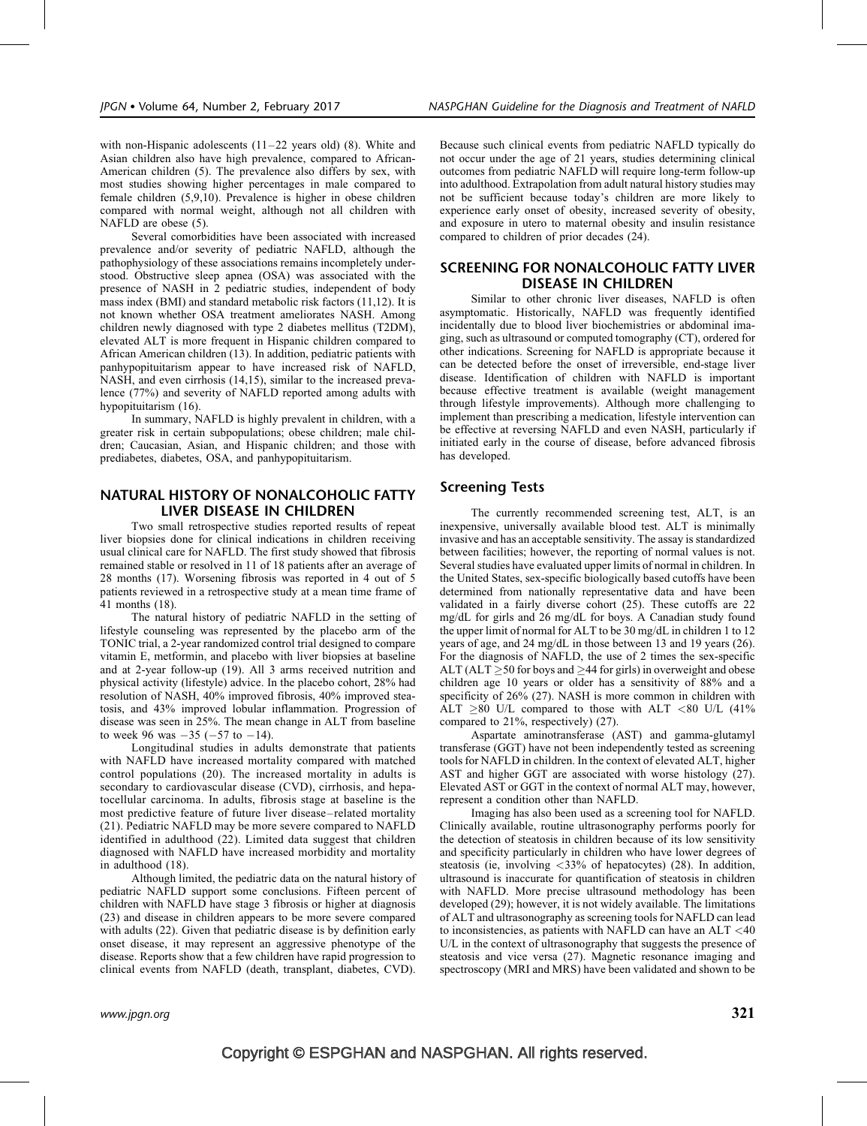with non-Hispanic adolescents (11–22 years old) (8). White and Asian children also have high prevalence, compared to African-American children (5). The prevalence also differs by sex, with most studies showing higher percentages in male compared to female children (5,9,10). Prevalence is higher in obese children compared with normal weight, although not all children with NAFLD are obese (5).

Several comorbidities have been associated with increased prevalence and/or severity of pediatric NAFLD, although the pathophysiology of these associations remains incompletely understood. Obstructive sleep apnea (OSA) was associated with the presence of NASH in 2 pediatric studies, independent of body mass index (BMI) and standard metabolic risk factors (11,12). It is not known whether OSA treatment ameliorates NASH. Among children newly diagnosed with type 2 diabetes mellitus (T2DM), elevated ALT is more frequent in Hispanic children compared to African American children (13). In addition, pediatric patients with panhypopituitarism appear to have increased risk of NAFLD, NASH, and even cirrhosis (14,15), similar to the increased prevalence (77%) and severity of NAFLD reported among adults with hypopituitarism (16).

In summary, NAFLD is highly prevalent in children, with a greater risk in certain subpopulations; obese children; male children; Caucasian, Asian, and Hispanic children; and those with prediabetes, diabetes, OSA, and panhypopituitarism.

# NATURAL HISTORY OF NONALCOHOLIC FATTY LIVER DISEASE IN CHILDREN

Two small retrospective studies reported results of repeat liver biopsies done for clinical indications in children receiving usual clinical care for NAFLD. The first study showed that fibrosis remained stable or resolved in 11 of 18 patients after an average of 28 months (17). Worsening fibrosis was reported in 4 out of 5 patients reviewed in a retrospective study at a mean time frame of 41 months (18).

The natural history of pediatric NAFLD in the setting of lifestyle counseling was represented by the placebo arm of the TONIC trial, a 2-year randomized control trial designed to compare vitamin E, metformin, and placebo with liver biopsies at baseline and at 2-year follow-up (19). All 3 arms received nutrition and physical activity (lifestyle) advice. In the placebo cohort, 28% had resolution of NASH, 40% improved fibrosis, 40% improved steatosis, and 43% improved lobular inflammation. Progression of disease was seen in 25%. The mean change in ALT from baseline to week 96 was  $-35$  ( $-57$  to  $-14$ ).

Longitudinal studies in adults demonstrate that patients with NAFLD have increased mortality compared with matched control populations (20). The increased mortality in adults is secondary to cardiovascular disease (CVD), cirrhosis, and hepatocellular carcinoma. In adults, fibrosis stage at baseline is the most predictive feature of future liver disease–related mortality (21). Pediatric NAFLD may be more severe compared to NAFLD identified in adulthood (22). Limited data suggest that children diagnosed with NAFLD have increased morbidity and mortality in adulthood (18).

Although limited, the pediatric data on the natural history of pediatric NAFLD support some conclusions. Fifteen percent of children with NAFLD have stage 3 fibrosis or higher at diagnosis (23) and disease in children appears to be more severe compared with adults (22). Given that pediatric disease is by definition early onset disease, it may represent an aggressive phenotype of the disease. Reports show that a few children have rapid progression to clinical events from NAFLD (death, transplant, diabetes, CVD).

Because such clinical events from pediatric NAFLD typically do not occur under the age of 21 years, studies determining clinical outcomes from pediatric NAFLD will require long-term follow-up into adulthood. Extrapolation from adult natural history studies may not be sufficient because today's children are more likely to experience early onset of obesity, increased severity of obesity, and exposure in utero to maternal obesity and insulin resistance compared to children of prior decades (24).

# SCREENING FOR NONALCOHOLIC FATTY LIVER DISEASE IN CHILDREN

Similar to other chronic liver diseases, NAFLD is often asymptomatic. Historically, NAFLD was frequently identified incidentally due to blood liver biochemistries or abdominal imaging, such as ultrasound or computed tomography (CT), ordered for other indications. Screening for NAFLD is appropriate because it can be detected before the onset of irreversible, end-stage liver disease. Identification of children with NAFLD is important because effective treatment is available (weight management through lifestyle improvements). Although more challenging to implement than prescribing a medication, lifestyle intervention can be effective at reversing NAFLD and even NASH, particularly if initiated early in the course of disease, before advanced fibrosis has developed.

# Screening Tests

The currently recommended screening test, ALT, is an inexpensive, universally available blood test. ALT is minimally invasive and has an acceptable sensitivity. The assay is standardized between facilities; however, the reporting of normal values is not. Several studies have evaluated upper limits of normal in children. In the United States, sex-specific biologically based cutoffs have been determined from nationally representative data and have been validated in a fairly diverse cohort (25). These cutoffs are 22 mg/dL for girls and 26 mg/dL for boys. A Canadian study found the upper limit of normal for ALT to be 30 mg/dL in children 1 to 12 years of age, and 24 mg/dL in those between 13 and 19 years (26). For the diagnosis of NAFLD, the use of 2 times the sex-specific ALT (ALT  $\geq$  50 for boys and  $\geq$  44 for girls) in overweight and obese children age 10 years or older has a sensitivity of 88% and a specificity of 26% (27). NASH is more common in children with ALT  $\geq$ 80 U/L compared to those with ALT <80 U/L (41% compared to 21%, respectively) (27).

Aspartate aminotransferase (AST) and gamma-glutamyl transferase (GGT) have not been independently tested as screening tools for NAFLD in children. In the context of elevated ALT, higher AST and higher GGT are associated with worse histology (27). Elevated AST or GGT in the context of normal ALT may, however, represent a condition other than NAFLD.

Imaging has also been used as a screening tool for NAFLD. Clinically available, routine ultrasonography performs poorly for the detection of steatosis in children because of its low sensitivity and specificity particularly in children who have lower degrees of steatosis (ie, involving <33% of hepatocytes) (28). In addition, ultrasound is inaccurate for quantification of steatosis in children with NAFLD. More precise ultrasound methodology has been developed (29); however, it is not widely available. The limitations of ALT and ultrasonography as screening tools for NAFLD can lead to inconsistencies, as patients with NAFLD can have an ALT <40 U/L in the context of ultrasonography that suggests the presence of steatosis and vice versa (27). Magnetic resonance imaging and spectroscopy (MRI and MRS) have been validated and shown to be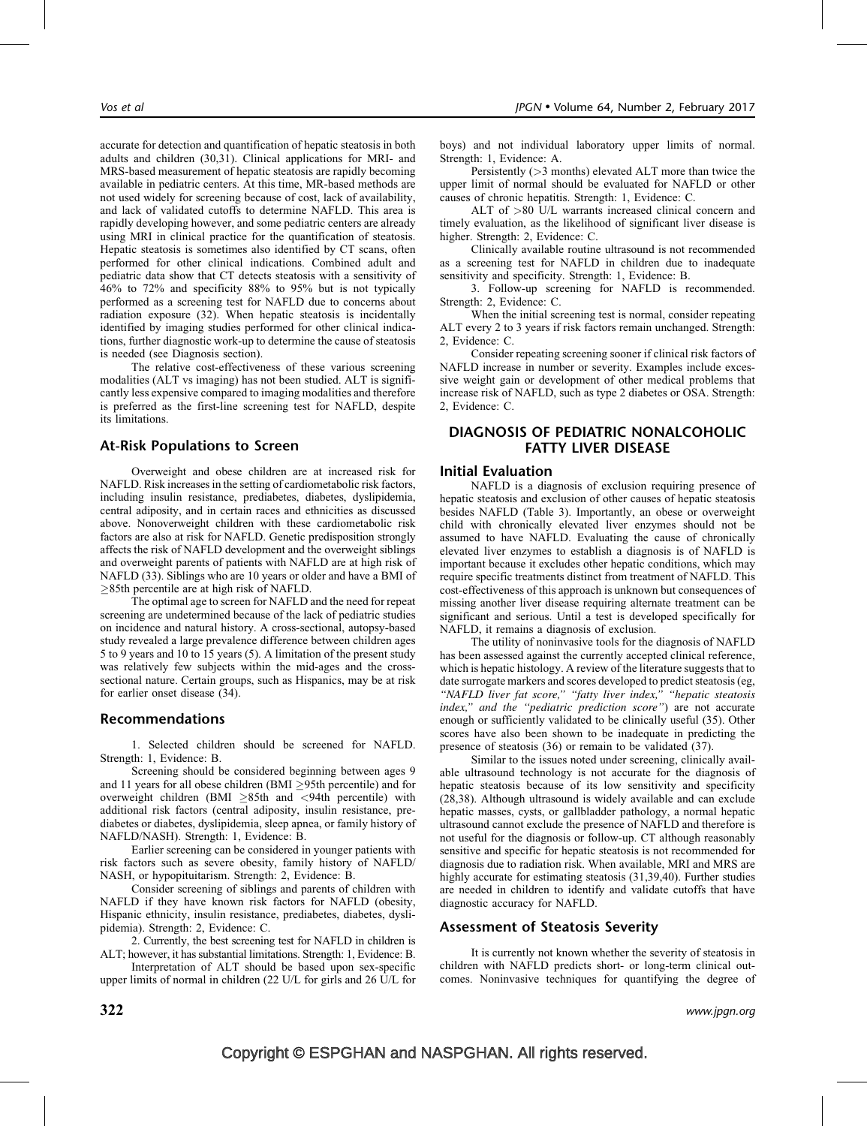accurate for detection and quantification of hepatic steatosis in both adults and children (30,31). Clinical applications for MRI- and MRS-based measurement of hepatic steatosis are rapidly becoming available in pediatric centers. At this time, MR-based methods are not used widely for screening because of cost, lack of availability, and lack of validated cutoffs to determine NAFLD. This area is rapidly developing however, and some pediatric centers are already using MRI in clinical practice for the quantification of steatosis. Hepatic steatosis is sometimes also identified by CT scans, often performed for other clinical indications. Combined adult and pediatric data show that CT detects steatosis with a sensitivity of 46% to 72% and specificity 88% to 95% but is not typically performed as a screening test for NAFLD due to concerns about radiation exposure (32). When hepatic steatosis is incidentally identified by imaging studies performed for other clinical indications, further diagnostic work-up to determine the cause of steatosis is needed (see Diagnosis section).

The relative cost-effectiveness of these various screening modalities (ALT vs imaging) has not been studied. ALT is significantly less expensive compared to imaging modalities and therefore is preferred as the first-line screening test for NAFLD, despite its limitations.

## At-Risk Populations to Screen

Overweight and obese children are at increased risk for NAFLD. Risk increases in the setting of cardiometabolic risk factors, including insulin resistance, prediabetes, diabetes, dyslipidemia, central adiposity, and in certain races and ethnicities as discussed above. Nonoverweight children with these cardiometabolic risk factors are also at risk for NAFLD. Genetic predisposition strongly affects the risk of NAFLD development and the overweight siblings and overweight parents of patients with NAFLD are at high risk of NAFLD (33). Siblings who are 10 years or older and have a BMI of  $\geq$ 85th percentile are at high risk of NAFLD.

The optimal age to screen for NAFLD and the need for repeat screening are undetermined because of the lack of pediatric studies on incidence and natural history. A cross-sectional, autopsy-based study revealed a large prevalence difference between children ages 5 to 9 years and 10 to 15 years (5). A limitation of the present study was relatively few subjects within the mid-ages and the crosssectional nature. Certain groups, such as Hispanics, may be at risk for earlier onset disease (34).

#### Recommendations

1. Selected children should be screened for NAFLD. Strength: 1, Evidence: B.

Screening should be considered beginning between ages 9 and 11 years for all obese children  $(BMI > 95th$  percentile) and for overweight children (BMI  $\geq$ 85th and <94th percentile) with additional risk factors (central adiposity, insulin resistance, prediabetes or diabetes, dyslipidemia, sleep apnea, or family history of NAFLD/NASH). Strength: 1, Evidence: B.

Earlier screening can be considered in younger patients with risk factors such as severe obesity, family history of NAFLD/ NASH, or hypopituitarism. Strength: 2, Evidence: B.

Consider screening of siblings and parents of children with NAFLD if they have known risk factors for NAFLD (obesity, Hispanic ethnicity, insulin resistance, prediabetes, diabetes, dyslipidemia). Strength: 2, Evidence: C.

2. Currently, the best screening test for NAFLD in children is ALT; however, it has substantial limitations. Strength: 1, Evidence: B.

Interpretation of ALT should be based upon sex-specific upper limits of normal in children (22 U/L for girls and 26 U/L for boys) and not individual laboratory upper limits of normal. Strength: 1, Evidence: A.

Persistently (>3 months) elevated ALT more than twice the upper limit of normal should be evaluated for NAFLD or other causes of chronic hepatitis. Strength: 1, Evidence: C.

ALT of >80 U/L warrants increased clinical concern and timely evaluation, as the likelihood of significant liver disease is higher. Strength: 2, Evidence: C.

Clinically available routine ultrasound is not recommended as a screening test for NAFLD in children due to inadequate sensitivity and specificity. Strength: 1, Evidence: B.

3. Follow-up screening for NAFLD is recommended. Strength: 2, Evidence: C.

When the initial screening test is normal, consider repeating ALT every 2 to 3 years if risk factors remain unchanged. Strength: 2, Evidence: C.

Consider repeating screening sooner if clinical risk factors of NAFLD increase in number or severity. Examples include excessive weight gain or development of other medical problems that increase risk of NAFLD, such as type 2 diabetes or OSA. Strength: 2, Evidence: C.

# DIAGNOSIS OF PEDIATRIC NONALCOHOLIC FATTY LIVER DISEASE

#### Initial Evaluation

NAFLD is a diagnosis of exclusion requiring presence of hepatic steatosis and exclusion of other causes of hepatic steatosis besides NAFLD (Table 3). Importantly, an obese or overweight child with chronically elevated liver enzymes should not be assumed to have NAFLD. Evaluating the cause of chronically elevated liver enzymes to establish a diagnosis is of NAFLD is important because it excludes other hepatic conditions, which may require specific treatments distinct from treatment of NAFLD. This cost-effectiveness of this approach is unknown but consequences of missing another liver disease requiring alternate treatment can be significant and serious. Until a test is developed specifically for NAFLD, it remains a diagnosis of exclusion.

The utility of noninvasive tools for the diagnosis of NAFLD has been assessed against the currently accepted clinical reference, which is hepatic histology. A review of the literature suggests that to date surrogate markers and scores developed to predict steatosis (eg, "NAFLD liver fat score," "fatty liver index," "hepatic steatosis index," and the "pediatric prediction score") are not accurate enough or sufficiently validated to be clinically useful (35). Other scores have also been shown to be inadequate in predicting the presence of steatosis (36) or remain to be validated (37).

Similar to the issues noted under screening, clinically available ultrasound technology is not accurate for the diagnosis of hepatic steatosis because of its low sensitivity and specificity (28,38). Although ultrasound is widely available and can exclude hepatic masses, cysts, or gallbladder pathology, a normal hepatic ultrasound cannot exclude the presence of NAFLD and therefore is not useful for the diagnosis or follow-up. CT although reasonably sensitive and specific for hepatic steatosis is not recommended for diagnosis due to radiation risk. When available, MRI and MRS are highly accurate for estimating steatosis (31,39,40). Further studies are needed in children to identify and validate cutoffs that have diagnostic accuracy for NAFLD.

# Assessment of Steatosis Severity

It is currently not known whether the severity of steatosis in children with NAFLD predicts short- or long-term clinical outcomes. Noninvasive techniques for quantifying the degree of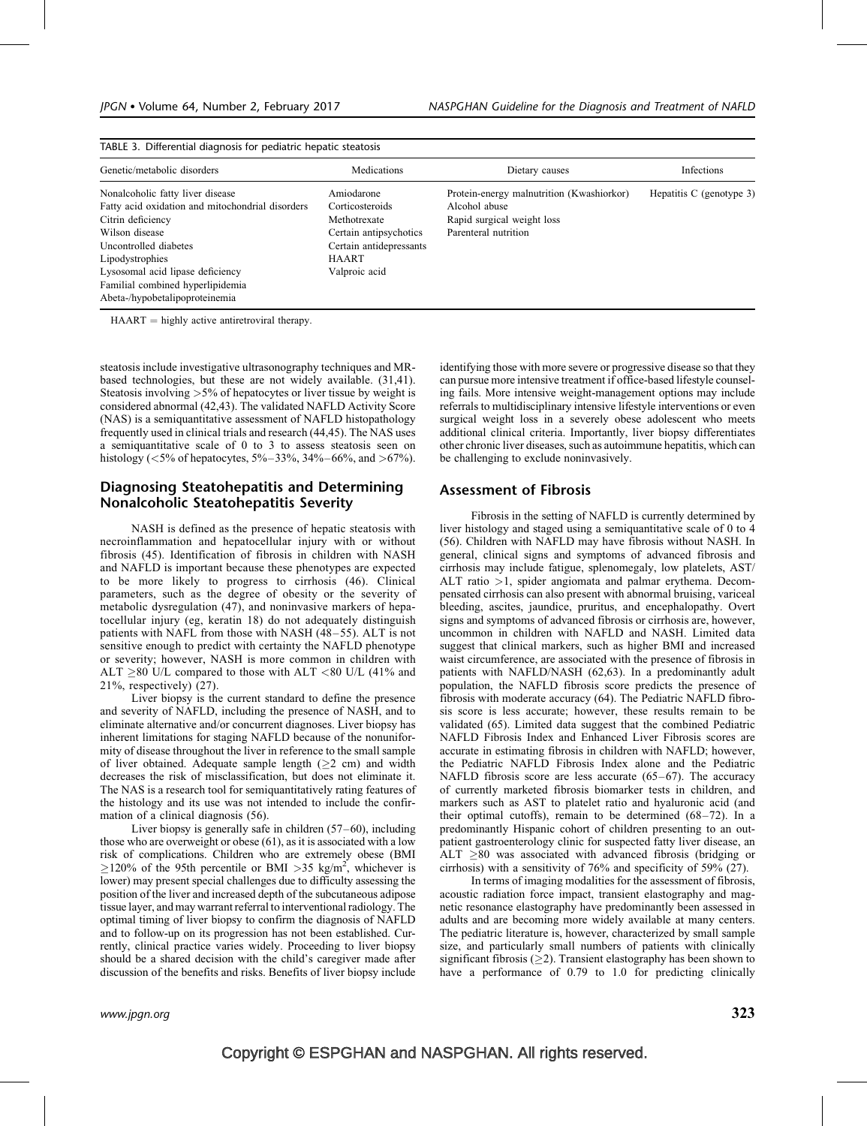| Genetic/metabolic disorders                                                                                                                                                                                                                     | Medications                                                                                                                         | Dietary causes                                                                                                   | <b>Infections</b>        |
|-------------------------------------------------------------------------------------------------------------------------------------------------------------------------------------------------------------------------------------------------|-------------------------------------------------------------------------------------------------------------------------------------|------------------------------------------------------------------------------------------------------------------|--------------------------|
| Nonalcoholic fatty liver disease<br>Fatty acid oxidation and mitochondrial disorders<br>Citrin deficiency<br>Wilson disease<br>Uncontrolled diabetes<br>Lipodystrophies<br>Lysosomal acid lipase deficiency<br>Familial combined hyperlipidemia | Amiodarone<br>Corticosteroids<br>Methotrexate<br>Certain antipsychotics<br>Certain antidepressants<br><b>HAART</b><br>Valproic acid | Protein-energy malnutrition (Kwashiorkor)<br>Alcohol abuse<br>Rapid surgical weight loss<br>Parenteral nutrition | Hepatitis C (genotype 3) |

TABLE 3. Differential diagnosis for pediatric hepatic steatosis

 $HAART =$  highly active antiretroviral therapy.

steatosis include investigative ultrasonography techniques and MRbased technologies, but these are not widely available. (31,41). Steatosis involving >5% of hepatocytes or liver tissue by weight is considered abnormal (42,43). The validated NAFLD Activity Score (NAS) is a semiquantitative assessment of NAFLD histopathology frequently used in clinical trials and research (44,45). The NAS uses a semiquantitative scale of 0 to 3 to assess steatosis seen on histology (<5% of hepatocytes, 5%–33%, 34%–66%, and >67%).

# Diagnosing Steatohepatitis and Determining Nonalcoholic Steatohepatitis Severity

NASH is defined as the presence of hepatic steatosis with necroinflammation and hepatocellular injury with or without fibrosis (45). Identification of fibrosis in children with NASH and NAFLD is important because these phenotypes are expected to be more likely to progress to cirrhosis (46). Clinical parameters, such as the degree of obesity or the severity of metabolic dysregulation (47), and noninvasive markers of hepatocellular injury (eg, keratin 18) do not adequately distinguish patients with NAFL from those with NASH (48–55). ALT is not sensitive enough to predict with certainty the NAFLD phenotype or severity; however, NASH is more common in children with ALT  $>80$  U/L compared to those with ALT <80 U/L (41% and 21%, respectively) (27).

Liver biopsy is the current standard to define the presence and severity of NAFLD, including the presence of NASH, and to eliminate alternative and/or concurrent diagnoses. Liver biopsy has inherent limitations for staging NAFLD because of the nonuniformity of disease throughout the liver in reference to the small sample of liver obtained. Adequate sample length  $(22 \text{ cm})$  and width decreases the risk of misclassification, but does not eliminate it. The NAS is a research tool for semiquantitatively rating features of the histology and its use was not intended to include the confirmation of a clinical diagnosis (56).

Liver biopsy is generally safe in children  $(57–60)$ , including those who are overweight or obese (61), as it is associated with a low risk of complications. Children who are extremely obese (BMI  $\geq$ 120% of the 95th percentile or BMI >35 kg/m<sup>2</sup>, whichever is lower) may present special challenges due to difficulty assessing the position of the liver and increased depth of the subcutaneous adipose tissue layer, and may warrant referral to interventional radiology. The optimal timing of liver biopsy to confirm the diagnosis of NAFLD and to follow-up on its progression has not been established. Currently, clinical practice varies widely. Proceeding to liver biopsy should be a shared decision with the child's caregiver made after discussion of the benefits and risks. Benefits of liver biopsy include identifying those with more severe or progressive disease so that they can pursue more intensive treatment if office-based lifestyle counseling fails. More intensive weight-management options may include referrals to multidisciplinary intensive lifestyle interventions or even surgical weight loss in a severely obese adolescent who meets additional clinical criteria. Importantly, liver biopsy differentiates other chronic liver diseases, such as autoimmune hepatitis, which can be challenging to exclude noninvasively.

## Assessment of Fibrosis

Fibrosis in the setting of NAFLD is currently determined by liver histology and staged using a semiquantitative scale of 0 to 4 (56). Children with NAFLD may have fibrosis without NASH. In general, clinical signs and symptoms of advanced fibrosis and cirrhosis may include fatigue, splenomegaly, low platelets, AST/ ALT ratio >1, spider angiomata and palmar erythema. Decompensated cirrhosis can also present with abnormal bruising, variceal bleeding, ascites, jaundice, pruritus, and encephalopathy. Overt signs and symptoms of advanced fibrosis or cirrhosis are, however, uncommon in children with NAFLD and NASH. Limited data suggest that clinical markers, such as higher BMI and increased waist circumference, are associated with the presence of fibrosis in patients with NAFLD/NASH (62,63). In a predominantly adult population, the NAFLD fibrosis score predicts the presence of fibrosis with moderate accuracy (64). The Pediatric NAFLD fibrosis score is less accurate; however, these results remain to be validated (65). Limited data suggest that the combined Pediatric NAFLD Fibrosis Index and Enhanced Liver Fibrosis scores are accurate in estimating fibrosis in children with NAFLD; however, the Pediatric NAFLD Fibrosis Index alone and the Pediatric NAFLD fibrosis score are less accurate (65–67). The accuracy of currently marketed fibrosis biomarker tests in children, and markers such as AST to platelet ratio and hyaluronic acid (and their optimal cutoffs), remain to be determined (68–72). In a predominantly Hispanic cohort of children presenting to an outpatient gastroenterology clinic for suspected fatty liver disease, an ALT  $\geq$ 80 was associated with advanced fibrosis (bridging or cirrhosis) with a sensitivity of 76% and specificity of 59% (27).

In terms of imaging modalities for the assessment of fibrosis, acoustic radiation force impact, transient elastography and magnetic resonance elastography have predominantly been assessed in adults and are becoming more widely available at many centers. The pediatric literature is, however, characterized by small sample size, and particularly small numbers of patients with clinically significant fibrosis ( $\geq$ 2). Transient elastography has been shown to have a performance of 0.79 to 1.0 for predicting clinically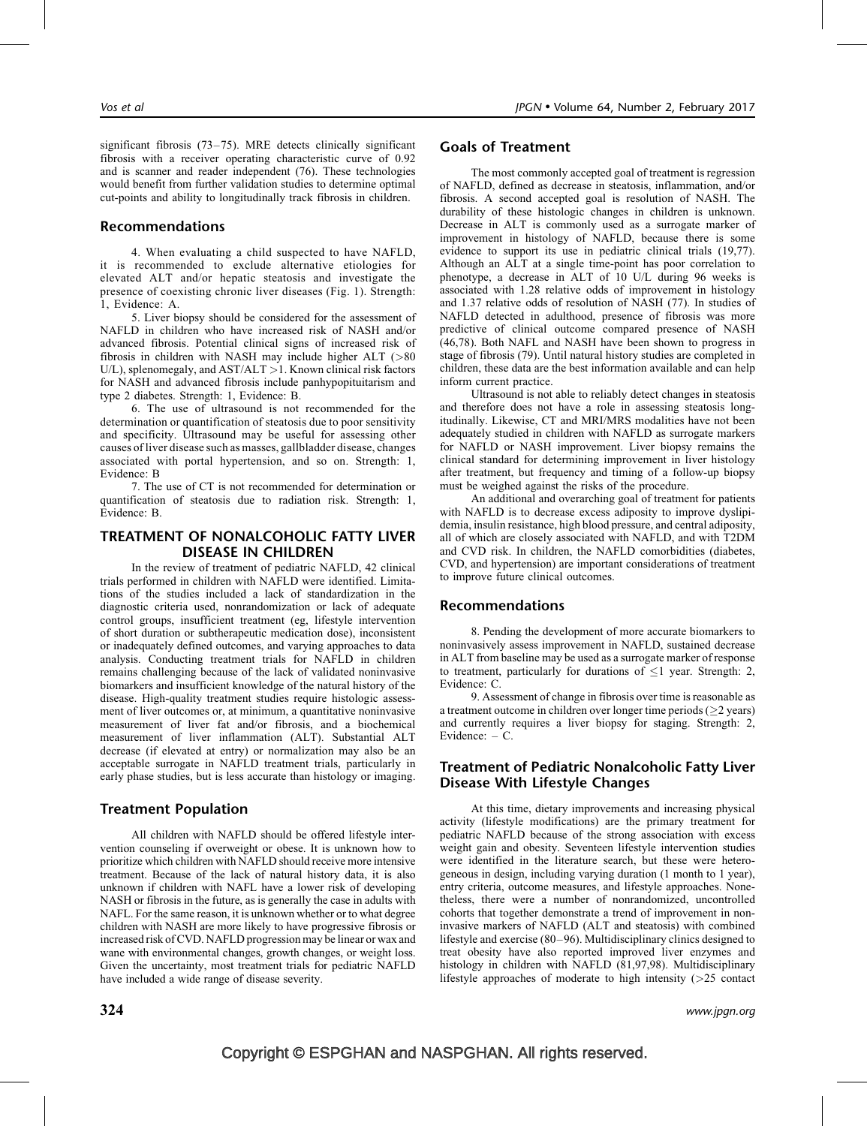significant fibrosis (73–75). MRE detects clinically significant fibrosis with a receiver operating characteristic curve of 0.92 and is scanner and reader independent (76). These technologies would benefit from further validation studies to determine optimal cut-points and ability to longitudinally track fibrosis in children.

## Recommendations

4. When evaluating a child suspected to have NAFLD, it is recommended to exclude alternative etiologies for elevated ALT and/or hepatic steatosis and investigate the presence of coexisting chronic liver diseases (Fig. 1). Strength: 1, Evidence: A.

5. Liver biopsy should be considered for the assessment of NAFLD in children who have increased risk of NASH and/or advanced fibrosis. Potential clinical signs of increased risk of fibrosis in children with NASH may include higher ALT (>80 U/L), splenomegaly, and AST/ALT > 1. Known clinical risk factors for NASH and advanced fibrosis include panhypopituitarism and type 2 diabetes. Strength: 1, Evidence: B.

6. The use of ultrasound is not recommended for the determination or quantification of steatosis due to poor sensitivity and specificity. Ultrasound may be useful for assessing other causes of liver disease such as masses, gallbladder disease, changes associated with portal hypertension, and so on. Strength: 1, Evidence: B

7. The use of CT is not recommended for determination or quantification of steatosis due to radiation risk. Strength: 1, Evidence: B.

# TREATMENT OF NONALCOHOLIC FATTY LIVER DISEASE IN CHILDREN

In the review of treatment of pediatric NAFLD, 42 clinical trials performed in children with NAFLD were identified. Limitations of the studies included a lack of standardization in the diagnostic criteria used, nonrandomization or lack of adequate control groups, insufficient treatment (eg, lifestyle intervention of short duration or subtherapeutic medication dose), inconsistent or inadequately defined outcomes, and varying approaches to data analysis. Conducting treatment trials for NAFLD in children remains challenging because of the lack of validated noninvasive biomarkers and insufficient knowledge of the natural history of the disease. High-quality treatment studies require histologic assessment of liver outcomes or, at minimum, a quantitative noninvasive measurement of liver fat and/or fibrosis, and a biochemical measurement of liver inflammation (ALT). Substantial ALT decrease (if elevated at entry) or normalization may also be an acceptable surrogate in NAFLD treatment trials, particularly in early phase studies, but is less accurate than histology or imaging.

# Treatment Population

All children with NAFLD should be offered lifestyle intervention counseling if overweight or obese. It is unknown how to prioritize which children with NAFLD should receive more intensive treatment. Because of the lack of natural history data, it is also unknown if children with NAFL have a lower risk of developing NASH or fibrosis in the future, as is generally the case in adults with NAFL. For the same reason, it is unknown whether or to what degree children with NASH are more likely to have progressive fibrosis or increased risk of CVD. NAFLD progression may be linear or wax and wane with environmental changes, growth changes, or weight loss. Given the uncertainty, most treatment trials for pediatric NAFLD have included a wide range of disease severity.

The most commonly accepted goal of treatment is regression of NAFLD, defined as decrease in steatosis, inflammation, and/or fibrosis. A second accepted goal is resolution of NASH. The durability of these histologic changes in children is unknown. Decrease in ALT is commonly used as a surrogate marker of improvement in histology of NAFLD, because there is some evidence to support its use in pediatric clinical trials (19,77). Although an ALT at a single time-point has poor correlation to phenotype, a decrease in ALT of 10 U/L during 96 weeks is associated with 1.28 relative odds of improvement in histology and 1.37 relative odds of resolution of NASH (77). In studies of NAFLD detected in adulthood, presence of fibrosis was more predictive of clinical outcome compared presence of NASH (46,78). Both NAFL and NASH have been shown to progress in stage of fibrosis (79). Until natural history studies are completed in children, these data are the best information available and can help inform current practice.

Ultrasound is not able to reliably detect changes in steatosis and therefore does not have a role in assessing steatosis longitudinally. Likewise, CT and MRI/MRS modalities have not been adequately studied in children with NAFLD as surrogate markers for NAFLD or NASH improvement. Liver biopsy remains the clinical standard for determining improvement in liver histology after treatment, but frequency and timing of a follow-up biopsy must be weighed against the risks of the procedure.

An additional and overarching goal of treatment for patients with NAFLD is to decrease excess adiposity to improve dyslipidemia, insulin resistance, high blood pressure, and central adiposity, all of which are closely associated with NAFLD, and with T2DM and CVD risk. In children, the NAFLD comorbidities (diabetes, CVD, and hypertension) are important considerations of treatment to improve future clinical outcomes.

#### Recommendations

Goals of Treatment

8. Pending the development of more accurate biomarkers to noninvasively assess improvement in NAFLD, sustained decrease in ALT from baseline may be used as a surrogate marker of response to treatment, particularly for durations of  $\leq$ 1 year. Strength: 2, Evidence: C.

9. Assessment of change in fibrosis over time is reasonable as a treatment outcome in children over longer time periods ( $\geq$ 2 years) and currently requires a liver biopsy for staging. Strength: 2, Evidence: – C.

# Treatment of Pediatric Nonalcoholic Fatty Liver Disease With Lifestyle Changes

At this time, dietary improvements and increasing physical activity (lifestyle modifications) are the primary treatment for pediatric NAFLD because of the strong association with excess weight gain and obesity. Seventeen lifestyle intervention studies were identified in the literature search, but these were heterogeneous in design, including varying duration (1 month to 1 year), entry criteria, outcome measures, and lifestyle approaches. Nonetheless, there were a number of nonrandomized, uncontrolled cohorts that together demonstrate a trend of improvement in noninvasive markers of NAFLD (ALT and steatosis) with combined lifestyle and exercise (80–96). Multidisciplinary clinics designed to treat obesity have also reported improved liver enzymes and histology in children with NAFLD (81,97,98). Multidisciplinary lifestyle approaches of moderate to high intensity (>25 contact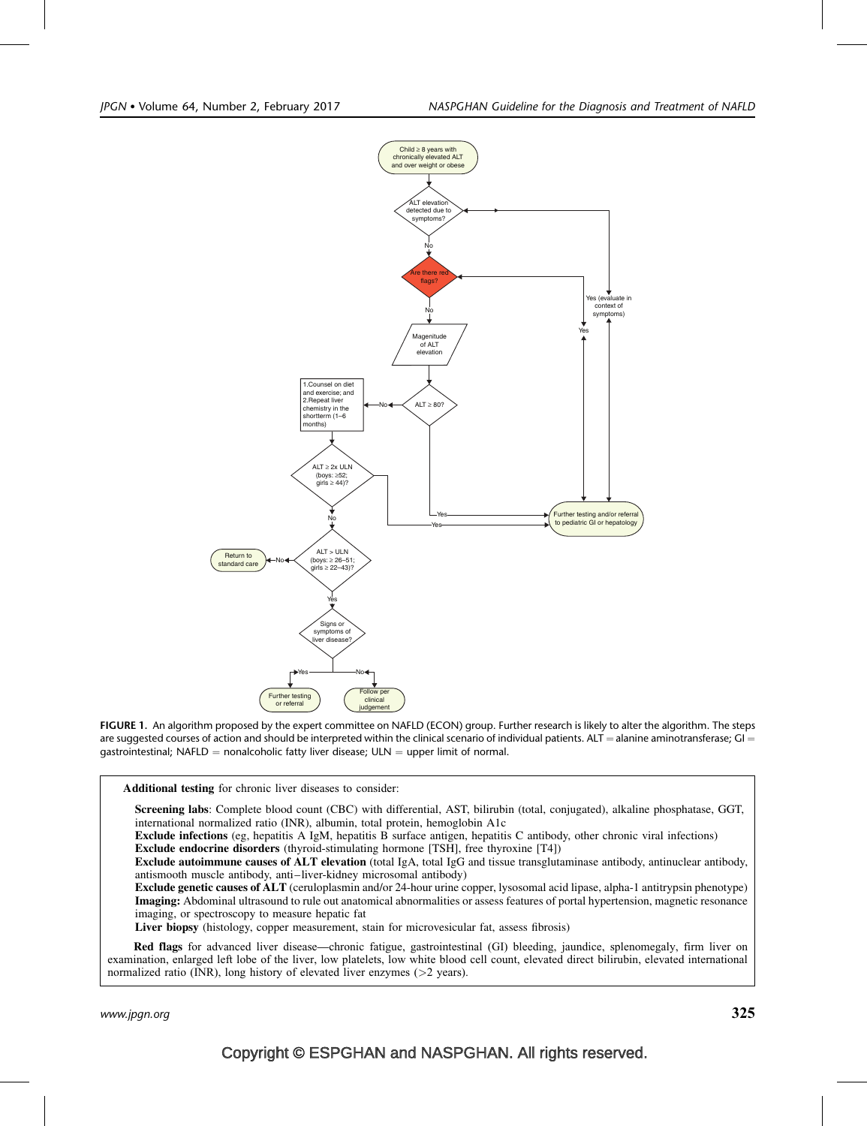

FIGURE 1. An algorithm proposed by the expert committee on NAFLD (ECON) group. Further research is likely to alter the algorithm. The steps are suggested courses of action and should be interpreted within the clinical scenario of individual patients. ALT = alanine aminotransferase; GI = gastrointestinal; NAFLD = nonalcoholic fatty liver disease;  $ULN =$  upper limit of normal.

Additional testing for chronic liver diseases to consider:

Screening labs: Complete blood count (CBC) with differential, AST, bilirubin (total, conjugated), alkaline phosphatase, GGT, international normalized ratio (INR), albumin, total protein, hemoglobin A1c

Exclude infections (eg, hepatitis A IgM, hepatitis B surface antigen, hepatitis C antibody, other chronic viral infections) Exclude endocrine disorders (thyroid-stimulating hormone [TSH], free thyroxine [T4])

Exclude autoimmune causes of ALT elevation (total IgA, total IgG and tissue transglutaminase antibody, antinuclear antibody, antismooth muscle antibody, anti–liver-kidney microsomal antibody)

Exclude genetic causes of ALT (ceruloplasmin and/or 24-hour urine copper, lysosomal acid lipase, alpha-1 antitrypsin phenotype) Imaging: Abdominal ultrasound to rule out anatomical abnormalities or assess features of portal hypertension, magnetic resonance imaging, or spectroscopy to measure hepatic fat

Liver biopsy (histology, copper measurement, stain for microvesicular fat, assess fibrosis)

Red flags for advanced liver disease—chronic fatigue, gastrointestinal (GI) bleeding, jaundice, splenomegaly, firm liver on examination, enlarged left lobe of the liver, low platelets, low white blood cell count, elevated direct bilirubin, elevated international normalized ratio (INR), long history of elevated liver enzymes (>2 years).

www.jpgn.org  $325$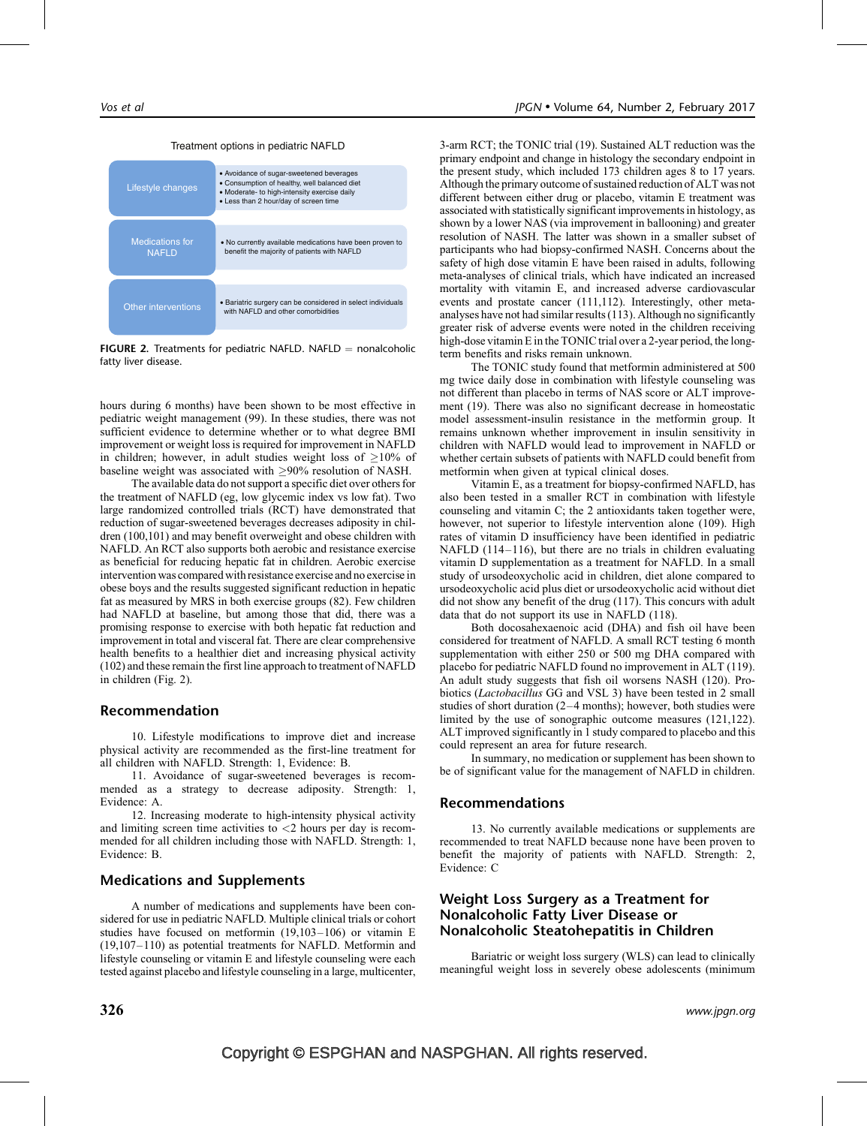#### Treatment options in pediatric NAFLD



**FIGURE 2.** Treatments for pediatric NAFLD. NAFLD = nonalcoholic fatty liver disease.

hours during 6 months) have been shown to be most effective in pediatric weight management (99). In these studies, there was not sufficient evidence to determine whether or to what degree BMI improvement or weight loss is required for improvement in NAFLD in children; however, in adult studies weight loss of  $\geq$ 10% of baseline weight was associated with  $>90\%$  resolution of NASH.

The available data do not support a specific diet over others for the treatment of NAFLD (eg, low glycemic index vs low fat). Two large randomized controlled trials (RCT) have demonstrated that reduction of sugar-sweetened beverages decreases adiposity in children (100,101) and may benefit overweight and obese children with NAFLD. An RCT also supports both aerobic and resistance exercise as beneficial for reducing hepatic fat in children. Aerobic exercise intervention was compared with resistance exercise and no exercise in obese boys and the results suggested significant reduction in hepatic fat as measured by MRS in both exercise groups (82). Few children had NAFLD at baseline, but among those that did, there was a promising response to exercise with both hepatic fat reduction and improvement in total and visceral fat. There are clear comprehensive health benefits to a healthier diet and increasing physical activity (102) and these remain the first line approach to treatment of NAFLD in children (Fig. 2).

#### Recommendation

10. Lifestyle modifications to improve diet and increase physical activity are recommended as the first-line treatment for all children with NAFLD. Strength: 1, Evidence: B.

11. Avoidance of sugar-sweetened beverages is recommended as a strategy to decrease adiposity. Strength: 1, Evidence: A.

12. Increasing moderate to high-intensity physical activity and limiting screen time activities to  $\langle 2 \rangle$  hours per day is recommended for all children including those with NAFLD. Strength: 1, Evidence: B.

#### Medications and Supplements

A number of medications and supplements have been considered for use in pediatric NAFLD. Multiple clinical trials or cohort studies have focused on metformin (19,103–106) or vitamin E (19,107–110) as potential treatments for NAFLD. Metformin and lifestyle counseling or vitamin E and lifestyle counseling were each tested against placebo and lifestyle counseling in a large, multicenter, 3-arm RCT; the TONIC trial (19). Sustained ALT reduction was the primary endpoint and change in histology the secondary endpoint in the present study, which included 173 children ages 8 to 17 years. Although the primary outcome of sustained reduction of ALT was not different between either drug or placebo, vitamin E treatment was associated with statistically significant improvements in histology, as shown by a lower NAS (via improvement in ballooning) and greater resolution of NASH. The latter was shown in a smaller subset of participants who had biopsy-confirmed NASH. Concerns about the safety of high dose vitamin E have been raised in adults, following meta-analyses of clinical trials, which have indicated an increased mortality with vitamin E, and increased adverse cardiovascular events and prostate cancer (111,112). Interestingly, other metaanalyses have not had similar results (113). Although no significantly greater risk of adverse events were noted in the children receiving high-dose vitamin E in the TONIC trial over a 2-year period, the longterm benefits and risks remain unknown.

The TONIC study found that metformin administered at 500 mg twice daily dose in combination with lifestyle counseling was not different than placebo in terms of NAS score or ALT improvement (19). There was also no significant decrease in homeostatic model assessment-insulin resistance in the metformin group. It remains unknown whether improvement in insulin sensitivity in children with NAFLD would lead to improvement in NAFLD or whether certain subsets of patients with NAFLD could benefit from metformin when given at typical clinical doses.

Vitamin E, as a treatment for biopsy-confirmed NAFLD, has also been tested in a smaller RCT in combination with lifestyle counseling and vitamin C; the 2 antioxidants taken together were, however, not superior to lifestyle intervention alone (109). High rates of vitamin D insufficiency have been identified in pediatric NAFLD (114–116), but there are no trials in children evaluating vitamin D supplementation as a treatment for NAFLD. In a small study of ursodeoxycholic acid in children, diet alone compared to ursodeoxycholic acid plus diet or ursodeoxycholic acid without diet did not show any benefit of the drug (117). This concurs with adult data that do not support its use in NAFLD (118).

Both docosahexaenoic acid (DHA) and fish oil have been considered for treatment of NAFLD. A small RCT testing 6 month supplementation with either 250 or 500 mg DHA compared with placebo for pediatric NAFLD found no improvement in ALT (119). An adult study suggests that fish oil worsens NASH (120). Probiotics (Lactobacillus GG and VSL 3) have been tested in 2 small studies of short duration (2–4 months); however, both studies were limited by the use of sonographic outcome measures (121,122). ALT improved significantly in 1 study compared to placebo and this could represent an area for future research.

In summary, no medication or supplement has been shown to be of significant value for the management of NAFLD in children.

#### Recommendations

13. No currently available medications or supplements are recommended to treat NAFLD because none have been proven to benefit the majority of patients with NAFLD. Strength: 2, Evidence: C

## Weight Loss Surgery as a Treatment for Nonalcoholic Fatty Liver Disease or Nonalcoholic Steatohepatitis in Children

Bariatric or weight loss surgery (WLS) can lead to clinically meaningful weight loss in severely obese adolescents (minimum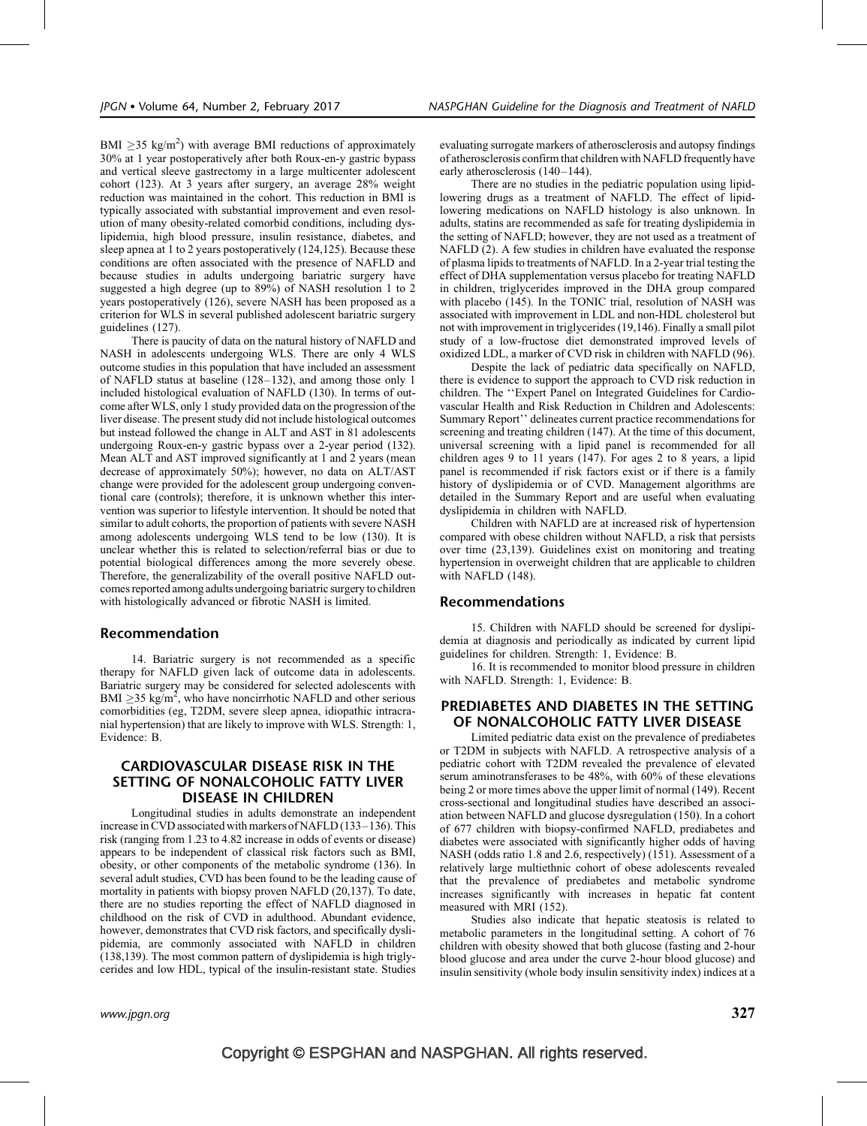BMI  $\geq$ 35 kg/m<sup>2</sup>) with average BMI reductions of approximately 30% at 1 year postoperatively after both Roux-en-y gastric bypass and vertical sleeve gastrectomy in a large multicenter adolescent cohort (123). At 3 years after surgery, an average 28% weight reduction was maintained in the cohort. This reduction in BMI is typically associated with substantial improvement and even resolution of many obesity-related comorbid conditions, including dyslipidemia, high blood pressure, insulin resistance, diabetes, and sleep apnea at 1 to 2 years postoperatively (124,125). Because these conditions are often associated with the presence of NAFLD and because studies in adults undergoing bariatric surgery have suggested a high degree (up to 89%) of NASH resolution 1 to 2 years postoperatively (126), severe NASH has been proposed as a criterion for WLS in several published adolescent bariatric surgery guidelines (127).

There is paucity of data on the natural history of NAFLD and NASH in adolescents undergoing WLS. There are only 4 WLS outcome studies in this population that have included an assessment of NAFLD status at baseline (128–132), and among those only 1 included histological evaluation of NAFLD (130). In terms of outcome after WLS, only 1 study provided data on the progression of the liver disease. The present study did not include histological outcomes but instead followed the change in ALT and AST in 81 adolescents undergoing Roux-en-y gastric bypass over a 2-year period (132). Mean ALT and AST improved significantly at 1 and 2 years (mean decrease of approximately 50%); however, no data on ALT/AST change were provided for the adolescent group undergoing conventional care (controls); therefore, it is unknown whether this intervention was superior to lifestyle intervention. It should be noted that similar to adult cohorts, the proportion of patients with severe NASH among adolescents undergoing WLS tend to be low (130). It is unclear whether this is related to selection/referral bias or due to potential biological differences among the more severely obese. Therefore, the generalizability of the overall positive NAFLD outcomes reported among adults undergoing bariatric surgery to children with histologically advanced or fibrotic NASH is limited.

#### Recommendation

14. Bariatric surgery is not recommended as a specific therapy for NAFLD given lack of outcome data in adolescents. Bariatric surgery may be considered for selected adolescents with BMI  $\geq$ 35 kg/m<sup>2</sup>, who have noncirrhotic NAFLD and other serious comorbidities (eg, T2DM, severe sleep apnea, idiopathic intracranial hypertension) that are likely to improve with WLS. Strength: 1, Evidence: B.

# CARDIOVASCULAR DISEASE RISK IN THE SETTING OF NONALCOHOLIC FATTY LIVER DISEASE IN CHILDREN

Longitudinal studies in adults demonstrate an independent increase in CVD associated with markers of NAFLD (133–136). This risk (ranging from 1.23 to 4.82 increase in odds of events or disease) appears to be independent of classical risk factors such as BMI, obesity, or other components of the metabolic syndrome (136). In several adult studies, CVD has been found to be the leading cause of mortality in patients with biopsy proven NAFLD (20,137). To date, there are no studies reporting the effect of NAFLD diagnosed in childhood on the risk of CVD in adulthood. Abundant evidence, however, demonstrates that CVD risk factors, and specifically dyslipidemia, are commonly associated with NAFLD in children (138,139). The most common pattern of dyslipidemia is high triglycerides and low HDL, typical of the insulin-resistant state. Studies evaluating surrogate markers of atherosclerosis and autopsy findings of atherosclerosis confirm that children with NAFLD frequently have early atherosclerosis (140–144).

There are no studies in the pediatric population using lipidlowering drugs as a treatment of NAFLD. The effect of lipidlowering medications on NAFLD histology is also unknown. In adults, statins are recommended as safe for treating dyslipidemia in the setting of NAFLD; however, they are not used as a treatment of NAFLD (2). A few studies in children have evaluated the response of plasma lipids to treatments of NAFLD. In a 2-year trial testing the effect of DHA supplementation versus placebo for treating NAFLD in children, triglycerides improved in the DHA group compared with placebo (145). In the TONIC trial, resolution of NASH was associated with improvement in LDL and non-HDL cholesterol but not with improvement in triglycerides (19,146). Finally a small pilot study of a low-fructose diet demonstrated improved levels of oxidized LDL, a marker of CVD risk in children with NAFLD (96).

Despite the lack of pediatric data specifically on NAFLD, there is evidence to support the approach to CVD risk reduction in children. The ''Expert Panel on Integrated Guidelines for Cardiovascular Health and Risk Reduction in Children and Adolescents: Summary Report'' delineates current practice recommendations for screening and treating children (147). At the time of this document, universal screening with a lipid panel is recommended for all children ages 9 to 11 years (147). For ages 2 to 8 years, a lipid panel is recommended if risk factors exist or if there is a family history of dyslipidemia or of CVD. Management algorithms are detailed in the Summary Report and are useful when evaluating dyslipidemia in children with NAFLD.

Children with NAFLD are at increased risk of hypertension compared with obese children without NAFLD, a risk that persists over time (23,139). Guidelines exist on monitoring and treating hypertension in overweight children that are applicable to children with NAFLD (148).

#### Recommendations

15. Children with NAFLD should be screened for dyslipidemia at diagnosis and periodically as indicated by current lipid guidelines for children. Strength: 1, Evidence: B.

16. It is recommended to monitor blood pressure in children with NAFLD. Strength: 1, Evidence: B.

# PREDIABETES AND DIABETES IN THE SETTING OF NONALCOHOLIC FATTY LIVER DISEASE

Limited pediatric data exist on the prevalence of prediabetes or T2DM in subjects with NAFLD. A retrospective analysis of a pediatric cohort with T2DM revealed the prevalence of elevated serum aminotransferases to be 48%, with 60% of these elevations being 2 or more times above the upper limit of normal (149). Recent cross-sectional and longitudinal studies have described an association between NAFLD and glucose dysregulation (150). In a cohort of 677 children with biopsy-confirmed NAFLD, prediabetes and diabetes were associated with significantly higher odds of having NASH (odds ratio 1.8 and 2.6, respectively) (151). Assessment of a relatively large multiethnic cohort of obese adolescents revealed that the prevalence of prediabetes and metabolic syndrome increases significantly with increases in hepatic fat content measured with MRI (152).

Studies also indicate that hepatic steatosis is related to metabolic parameters in the longitudinal setting. A cohort of 76 children with obesity showed that both glucose (fasting and 2-hour blood glucose and area under the curve 2-hour blood glucose) and insulin sensitivity (whole body insulin sensitivity index) indices at a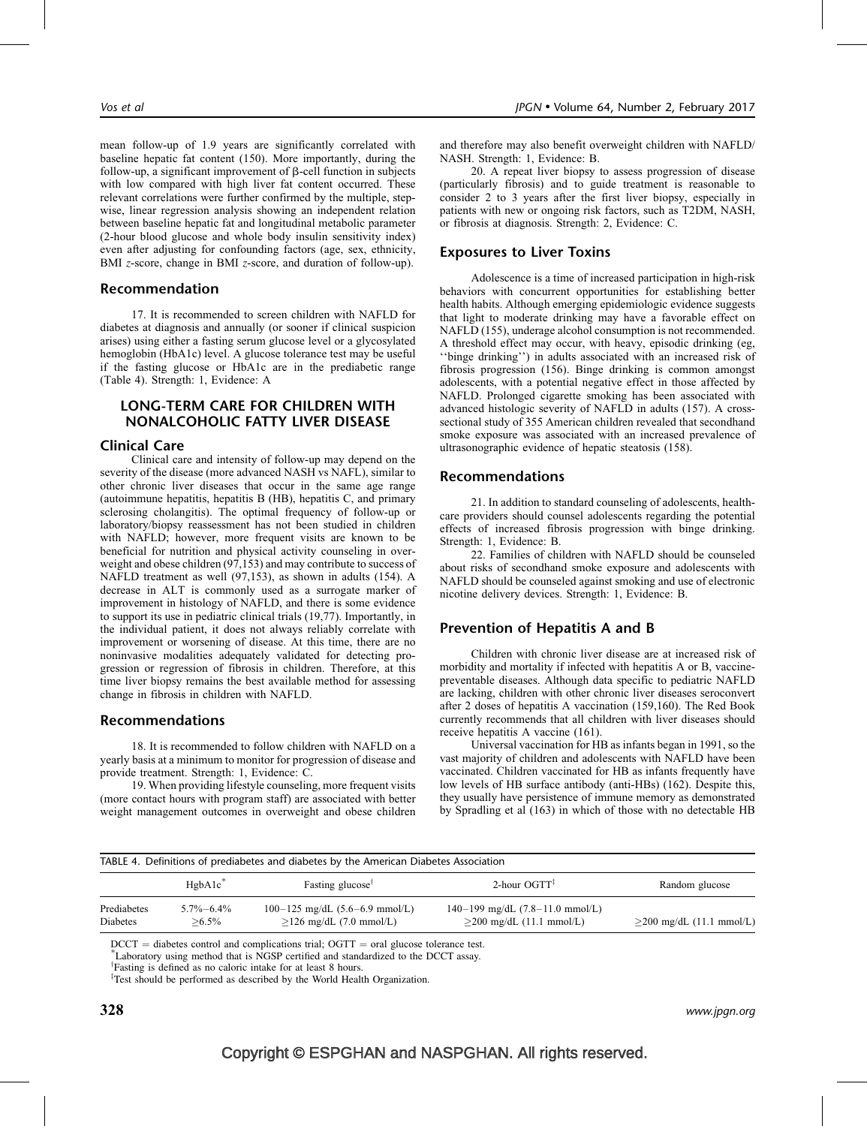mean follow-up of 1.9 years are significantly correlated with baseline hepatic fat content (150). More importantly, during the follow-up, a significant improvement of  $\beta$ -cell function in subjects with low compared with high liver fat content occurred. These relevant correlations were further confirmed by the multiple, stepwise, linear regression analysis showing an independent relation between baseline hepatic fat and longitudinal metabolic parameter (2-hour blood glucose and whole body insulin sensitivity index) even after adjusting for confounding factors (age, sex, ethnicity, BMI *z*-score, change in BMI *z*-score, and duration of follow-up).

## Recommendation

17. It is recommended to screen children with NAFLD for diabetes at diagnosis and annually (or sooner if clinical suspicion arises) using either a fasting serum glucose level or a glycosylated hemoglobin (HbA1c) level. A glucose tolerance test may be useful if the fasting glucose or HbA1c are in the prediabetic range (Table 4). Strength: 1, Evidence: A

# LONG-TERM CARE FOR CHILDREN WITH NONALCOHOLIC FATTY LIVER DISEASE

#### Clinical Care

Clinical care and intensity of follow-up may depend on the severity of the disease (more advanced NASH vs NAFL), similar to other chronic liver diseases that occur in the same age range (autoimmune hepatitis, hepatitis B (HB), hepatitis C, and primary sclerosing cholangitis). The optimal frequency of follow-up or laboratory/biopsy reassessment has not been studied in children with NAFLD; however, more frequent visits are known to be beneficial for nutrition and physical activity counseling in overweight and obese children (97,153) and may contribute to success of NAFLD treatment as well (97,153), as shown in adults (154). A decrease in ALT is commonly used as a surrogate marker of improvement in histology of NAFLD, and there is some evidence to support its use in pediatric clinical trials (19,77). Importantly, in the individual patient, it does not always reliably correlate with improvement or worsening of disease. At this time, there are no noninvasive modalities adequately validated for detecting progression or regression of fibrosis in children. Therefore, at this time liver biopsy remains the best available method for assessing change in fibrosis in children with NAFLD.

#### Recommendations

18. It is recommended to follow children with NAFLD on a yearly basis at a minimum to monitor for progression of disease and provide treatment. Strength: 1, Evidence: C.

19. When providing lifestyle counseling, more frequent visits (more contact hours with program staff) are associated with better weight management outcomes in overweight and obese children

and therefore may also benefit overweight children with NAFLD/ NASH. Strength: 1, Evidence: B.

20. A repeat liver biopsy to assess progression of disease (particularly fibrosis) and to guide treatment is reasonable to consider 2 to 3 years after the first liver biopsy, especially in patients with new or ongoing risk factors, such as T2DM, NASH, or fibrosis at diagnosis. Strength: 2, Evidence: C.

# Exposures to Liver Toxins

Adolescence is a time of increased participation in high-risk behaviors with concurrent opportunities for establishing better health habits. Although emerging epidemiologic evidence suggests that light to moderate drinking may have a favorable effect on NAFLD (155), underage alcohol consumption is not recommended. A threshold effect may occur, with heavy, episodic drinking (eg, ''binge drinking'') in adults associated with an increased risk of fibrosis progression (156). Binge drinking is common amongst adolescents, with a potential negative effect in those affected by NAFLD. Prolonged cigarette smoking has been associated with advanced histologic severity of NAFLD in adults (157). A crosssectional study of 355 American children revealed that secondhand smoke exposure was associated with an increased prevalence of ultrasonographic evidence of hepatic steatosis (158).

#### Recommendations

21. In addition to standard counseling of adolescents, healthcare providers should counsel adolescents regarding the potential effects of increased fibrosis progression with binge drinking. Strength: 1, Evidence: B.

22. Families of children with NAFLD should be counseled about risks of secondhand smoke exposure and adolescents with NAFLD should be counseled against smoking and use of electronic nicotine delivery devices. Strength: 1, Evidence: B.

# Prevention of Hepatitis A and B

Children with chronic liver disease are at increased risk of morbidity and mortality if infected with hepatitis A or B, vaccinepreventable diseases. Although data specific to pediatric NAFLD are lacking, children with other chronic liver diseases seroconvert after 2 doses of hepatitis A vaccination (159,160). The Red Book currently recommends that all children with liver diseases should receive hepatitis A vaccine (161).

Universal vaccination for HB as infants began in 1991, so the vast majority of children and adolescents with NAFLD have been vaccinated. Children vaccinated for HB as infants frequently have low levels of HB surface antibody (anti-HBs) (162). Despite this, they usually have persistence of immune memory as demonstrated by Spradling et al (163) in which of those with no detectable HB

| TABLE 4. Definitions of prediabetes and diabetes by the American Diabetes Association |                              |                                                                 |                                                                                   |                                    |  |
|---------------------------------------------------------------------------------------|------------------------------|-----------------------------------------------------------------|-----------------------------------------------------------------------------------|------------------------------------|--|
|                                                                                       | $H$ gbA $1c^*$               | Fasting glucose <sup>†</sup>                                    | 2-hour $OGTT$ <sup><math>\ddagger</math></sup>                                    | Random glucose                     |  |
| Prediabetes<br>Diabetes                                                               | $5.7\% - 6.4\%$<br>$> 6.5\%$ | $100-125$ mg/dL $(5.6-6.9$ mmol/L)<br>$>126$ mg/dL (7.0 mmol/L) | $140-199$ mg/dL $(7.8-11.0$ mmol/L)<br>$>200 \text{ mg/dL} (11.1 \text{ mmol/L})$ | $>200 \text{ mg/dL}$ (11.1 mmol/L) |  |

 $DCCT =$  diabetes control and complications trial;  $OGTT =$  oral glucose tolerance test.

Laboratory using method that is NGSP certified and standardized to the DCCT assay.

<sup>†</sup>Fasting is defined as no caloric intake for at least 8 hours.

<sup>‡</sup>Test should be performed as described by the World Health Organization.

 ${\bf 328}$  www.jpgn.org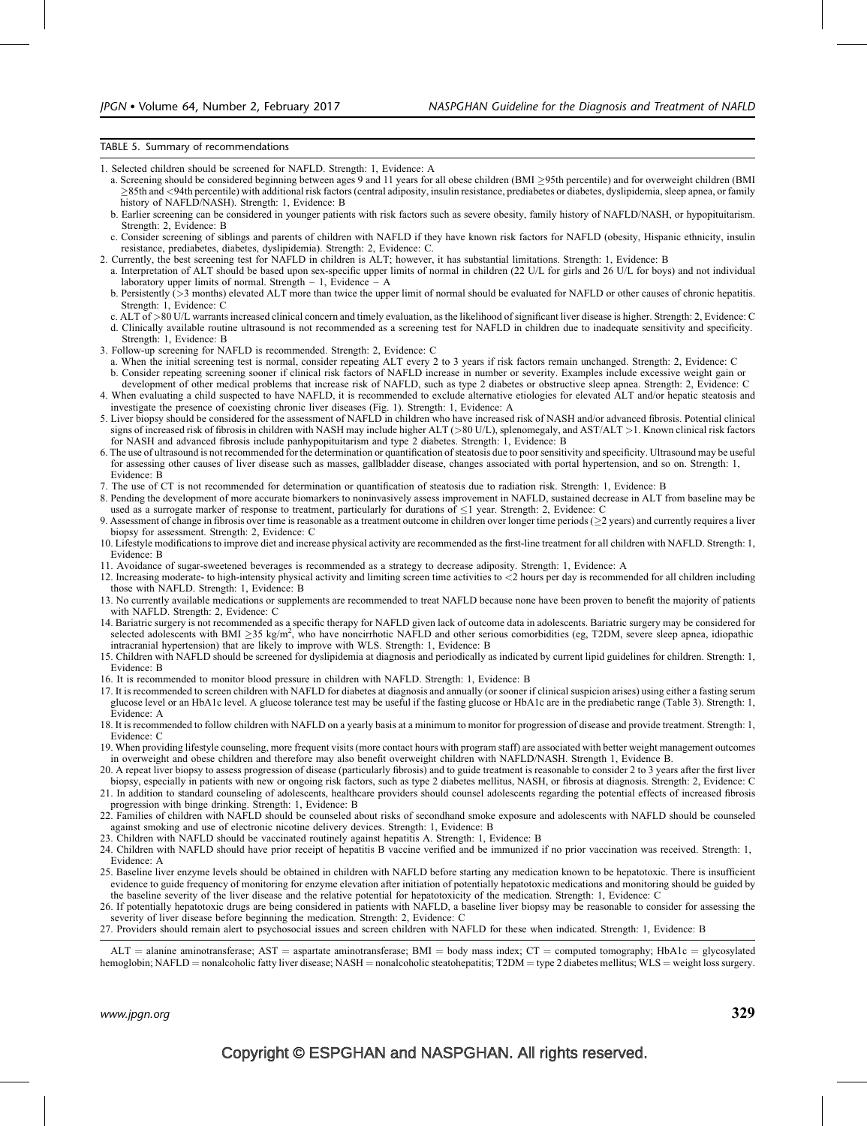#### TABLE 5. Summary of recommendations

1. Selected children should be screened for NAFLD. Strength: 1, Evidence: A

- a. Screening should be considered beginning between ages 9 and 11 years for all obese children (BMI  $\geq$ 95th percentile) and for overweight children (BMI 85th and <94th percentile) with additional risk factors (central adiposity, insulin resistance, prediabetes or diabetes, dyslipidemia, sleep apnea, or family history of NAFLD/NASH). Strength: 1, Evidence: B
- b. Earlier screening can be considered in younger patients with risk factors such as severe obesity, family history of NAFLD/NASH, or hypopituitarism. Strength: 2, Evidence: B
- c. Consider screening of siblings and parents of children with NAFLD if they have known risk factors for NAFLD (obesity, Hispanic ethnicity, insulin resistance, prediabetes, diabetes, dyslipidemia). Strength: 2, Evidence: C.
- 2. Currently, the best screening test for NAFLD in children is ALT; however, it has substantial limitations. Strength: 1, Evidence: B
- a. Interpretation of ALT should be based upon sex-specific upper limits of normal in children (22 U/L for girls and 26 U/L for boys) and not individual laboratory upper limits of normal. Strength  $-1$ , Evidence  $- A$
- b. Persistently  $\geq 3$  months) elevated ALT more than twice the upper limit of normal should be evaluated for NAFLD or other causes of chronic hepatitis. Strength: 1, Evidence: C
- c. ALT of >80 U/L warrants increased clinical concern and timely evaluation, as the likelihood of significant liver disease is higher. Strength: 2, Evidence: C
- d. Clinically available routine ultrasound is not recommended as a screening test for NAFLD in children due to inadequate sensitivity and specificity. Strength: 1, Evidence: B
- 3. Follow-up screening for NAFLD is recommended. Strength: 2, Evidence: C
- a. When the initial screening test is normal, consider repeating ALT every 2 to 3 years if risk factors remain unchanged. Strength: 2, Evidence: C b. Consider repeating screening sooner if clinical risk factors of NAFLD increase in number or severity. Examples include excessive weight gain or development of other medical problems that increase risk of NAFLD, such as type 2 diabetes or obstructive sleep apnea. Strength: 2, Evidence: C
- 4. When evaluating a child suspected to have NAFLD, it is recommended to exclude alternative etiologies for elevated ALT and/or hepatic steatosis and investigate the presence of coexisting chronic liver diseases (Fig. 1). Strength: 1, Evidence: A
- 5. Liver biopsy should be considered for the assessment of NAFLD in children who have increased risk of NASH and/or advanced fibrosis. Potential clinical signs of increased risk of fibrosis in children with NASH may include higher ALT (>80 U/L), splenomegaly, and AST/ALT >1. Known clinical risk factors for NASH and advanced fibrosis include panhypopituitarism and type 2 diabetes. Strength: 1, Evidence: B
- 6. The use of ultrasound is not recommended for the determination or quantification of steatosis due to poor sensitivity and specificity. Ultrasound may be useful for assessing other causes of liver disease such as masses, gallbladder disease, changes associated with portal hypertension, and so on. Strength: 1, Evidence: B
- 7. The use of CT is not recommended for determination or quantification of steatosis due to radiation risk. Strength: 1, Evidence: B
- 8. Pending the development of more accurate biomarkers to noninvasively assess improvement in NAFLD, sustained decrease in ALT from baseline may be used as a surrogate marker of response to treatment, particularly for durations of  $\leq 1$  year. Strength: 2, Evidence: C
- 9. Assessment of change in fibrosis over time is reasonable as a treatment outcome in children over longer time periods ( $\geq$ 2 years) and currently requires a liver biopsy for assessment. Strength: 2, Evidence: C
- 10. Lifestyle modifications to improve diet and increase physical activity are recommended as the first-line treatment for all children with NAFLD. Strength: 1, Evidence: B
- 11. Avoidance of sugar-sweetened beverages is recommended as a strategy to decrease adiposity. Strength: 1, Evidence: A
- 12. Increasing moderate- to high-intensity physical activity and limiting screen time activities to <2 hours per day is recommended for all children including those with NAFLD. Strength: 1, Evidence: B
- 13. No currently available medications or supplements are recommended to treat NAFLD because none have been proven to benefit the majority of patients with NAFLD. Strength: 2, Evidence: C
- 14. Bariatric surgery is not recommended as a specific therapy for NAFLD given lack of outcome data in adolescents. Bariatric surgery may be considered for selected adolescents with BMI  $\geq$ 35 kg/m<sup>2</sup>, who have noncirrhotic NAFLD and other serious comorbidities (eg, T2DM, severe sleep apnea, idiopathic intracranial hypertension) that are likely to improve with WLS. Strength: 1, Evidence: B
- 15. Children with NAFLD should be screened for dyslipidemia at diagnosis and periodically as indicated by current lipid guidelines for children. Strength: 1, Evidence: B
- 16. It is recommended to monitor blood pressure in children with NAFLD. Strength: 1, Evidence: B
- 17. It is recommended to screen children with NAFLD for diabetes at diagnosis and annually (or sooner if clinical suspicion arises) using either a fasting serum glucose level or an HbA1c level. A glucose tolerance test may be useful if the fasting glucose or HbA1c are in the prediabetic range (Table 3). Strength: 1, Evidence: A
- 18. It is recommended to follow children with NAFLD on a yearly basis at a minimum to monitor for progression of disease and provide treatment. Strength: 1, Evidence: C
- 19. When providing lifestyle counseling, more frequent visits (more contact hours with program staff) are associated with better weight management outcomes in overweight and obese children and therefore may also benefit overweight children with NAFLD/NASH. Strength 1, Evidence B.
- 20. A repeat liver biopsy to assess progression of disease (particularly fibrosis) and to guide treatment is reasonable to consider 2 to 3 years after the first liver biopsy, especially in patients with new or ongoing risk factors, such as type 2 diabetes mellitus, NASH, or fibrosis at diagnosis. Strength: 2, Evidence: C 21. In addition to standard counseling of adolescents, healthcare providers should counsel adolescents regarding the potential effects of increased fibrosis progression with binge drinking. Strength: 1, Evidence: B
- 22. Families of children with NAFLD should be counseled about risks of secondhand smoke exposure and adolescents with NAFLD should be counseled against smoking and use of electronic nicotine delivery devices. Strength: 1, Evidence: B
- 23. Children with NAFLD should be vaccinated routinely against hepatitis A. Strength: 1, Evidence: B
- 24. Children with NAFLD should have prior receipt of hepatitis B vaccine verified and be immunized if no prior vaccination was received. Strength: 1, Evidence: A
- 25. Baseline liver enzyme levels should be obtained in children with NAFLD before starting any medication known to be hepatotoxic. There is insufficient evidence to guide frequency of monitoring for enzyme elevation after initiation of potentially hepatotoxic medications and monitoring should be guided by the baseline severity of the liver disease and the relative potential for hepatotoxicity of the medication. Strength: 1, Evidence: C
- 26. If potentially hepatotoxic drugs are being considered in patients with NAFLD, a baseline liver biopsy may be reasonable to consider for assessing the severity of liver disease before beginning the medication. Strength: 2, Evidence: C
- 27. Providers should remain alert to psychosocial issues and screen children with NAFLD for these when indicated. Strength: 1, Evidence: B

 $ALT =$  alanine aminotransferase; AST = aspartate aminotransferase; BMI = body mass index;  $CT =$  computed tomography; HbA1c = glycosylated hemoglobin; NAFLD = nonalcoholic fatty liver disease; NASH = nonalcoholic steatohepatitis; T2DM = type 2 diabetes mellitus; WLS = weight loss surgery.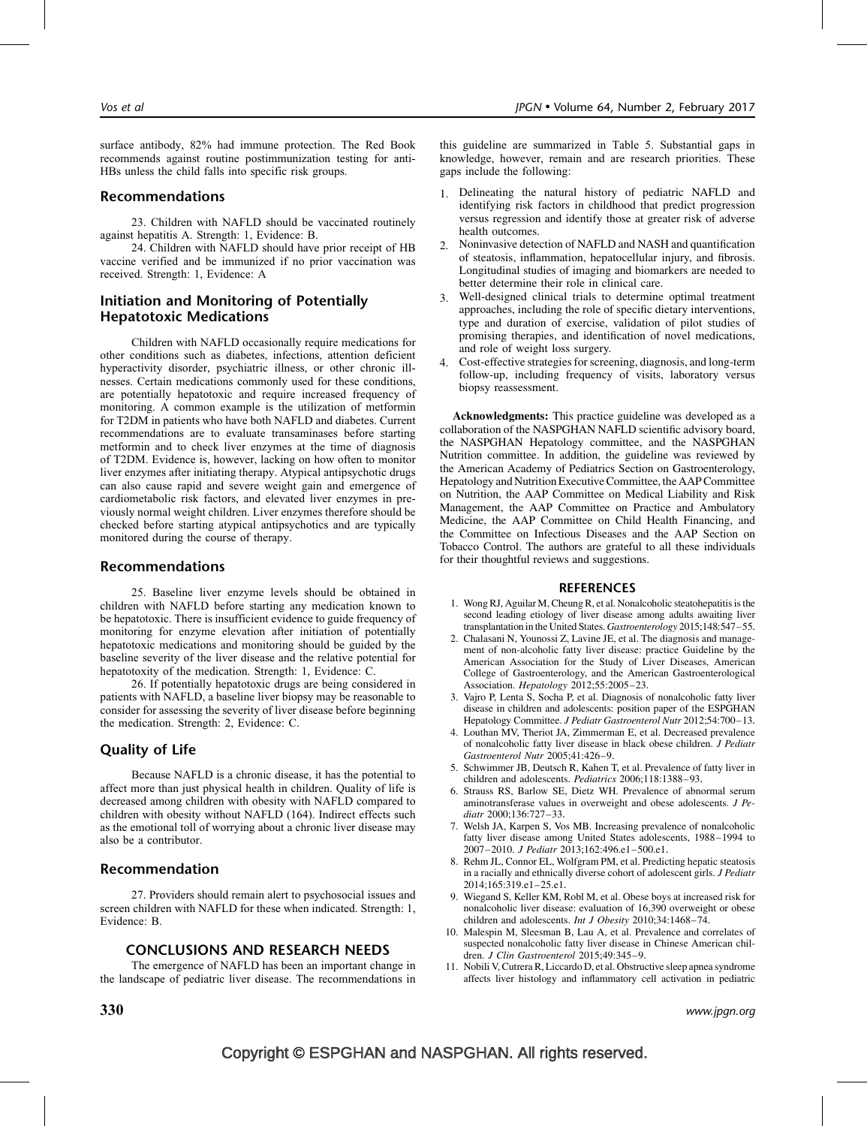surface antibody, 82% had immune protection. The Red Book recommends against routine postimmunization testing for anti-HBs unless the child falls into specific risk groups.

# Recommendations

23. Children with NAFLD should be vaccinated routinely against hepatitis A. Strength: 1, Evidence: B.

24. Children with NAFLD should have prior receipt of HB vaccine verified and be immunized if no prior vaccination was received. Strength: 1, Evidence: A

# Initiation and Monitoring of Potentially Hepatotoxic Medications

Children with NAFLD occasionally require medications for other conditions such as diabetes, infections, attention deficient hyperactivity disorder, psychiatric illness, or other chronic illnesses. Certain medications commonly used for these conditions, are potentially hepatotoxic and require increased frequency of monitoring. A common example is the utilization of metformin for T2DM in patients who have both NAFLD and diabetes. Current recommendations are to evaluate transaminases before starting metformin and to check liver enzymes at the time of diagnosis of T2DM. Evidence is, however, lacking on how often to monitor liver enzymes after initiating therapy. Atypical antipsychotic drugs can also cause rapid and severe weight gain and emergence of cardiometabolic risk factors, and elevated liver enzymes in previously normal weight children. Liver enzymes therefore should be checked before starting atypical antipsychotics and are typically monitored during the course of therapy.

# Recommendations

25. Baseline liver enzyme levels should be obtained in children with NAFLD before starting any medication known to be hepatotoxic. There is insufficient evidence to guide frequency of monitoring for enzyme elevation after initiation of potentially hepatotoxic medications and monitoring should be guided by the baseline severity of the liver disease and the relative potential for hepatotoxity of the medication. Strength: 1, Evidence: C.

26. If potentially hepatotoxic drugs are being considered in patients with NAFLD, a baseline liver biopsy may be reasonable to consider for assessing the severity of liver disease before beginning the medication. Strength: 2, Evidence: C.

# Quality of Life

Because NAFLD is a chronic disease, it has the potential to affect more than just physical health in children. Quality of life is decreased among children with obesity with NAFLD compared to children with obesity without NAFLD (164). Indirect effects such as the emotional toll of worrying about a chronic liver disease may also be a contributor.

# Recommendation

27. Providers should remain alert to psychosocial issues and screen children with NAFLD for these when indicated. Strength: 1, Evidence: B.

## CONCLUSIONS AND RESEARCH NEEDS

The emergence of NAFLD has been an important change in the landscape of pediatric liver disease. The recommendations in

this guideline are summarized in Table 5. Substantial gaps in knowledge, however, remain and are research priorities. These gaps include the following:

- 1. Delineating the natural history of pediatric NAFLD and identifying risk factors in childhood that predict progression versus regression and identify those at greater risk of adverse health outcomes.
- 2. Noninvasive detection of NAFLD and NASH and quantification of steatosis, inflammation, hepatocellular injury, and fibrosis. Longitudinal studies of imaging and biomarkers are needed to better determine their role in clinical care.
- 3. Well-designed clinical trials to determine optimal treatment approaches, including the role of specific dietary interventions, type and duration of exercise, validation of pilot studies of promising therapies, and identification of novel medications, and role of weight loss surgery.
- 4. Cost-effective strategies for screening, diagnosis, and long-term follow-up, including frequency of visits, laboratory versus biopsy reassessment.

Acknowledgments: This practice guideline was developed as a collaboration of the NASPGHAN NAFLD scientific advisory board, the NASPGHAN Hepatology committee, and the NASPGHAN Nutrition committee. In addition, the guideline was reviewed by the American Academy of Pediatrics Section on Gastroenterology, Hepatology and Nutrition Executive Committee, the AAP Committee on Nutrition, the AAP Committee on Medical Liability and Risk Management, the AAP Committee on Practice and Ambulatory Medicine, the AAP Committee on Child Health Financing, and the Committee on Infectious Diseases and the AAP Section on Tobacco Control. The authors are grateful to all these individuals for their thoughtful reviews and suggestions.

#### **REFERENCES**

- 1. Wong RJ, Aguilar M, Cheung R, et al. Nonalcoholic steatohepatitis is the second leading etiology of liver disease among adults awaiting liver transplantation in the United States. Gastroenterology 2015;148:547–55.
- 2. Chalasani N, Younossi Z, Lavine JE, et al. The diagnosis and management of non-alcoholic fatty liver disease: practice Guideline by the American Association for the Study of Liver Diseases, American College of Gastroenterology, and the American Gastroenterological Association. Hepatology 2012;55:2005–23.
- 3. Vajro P, Lenta S, Socha P, et al. Diagnosis of nonalcoholic fatty liver disease in children and adolescents: position paper of the ESPGHAN Hepatology Committee. J Pediatr Gastroenterol Nutr 2012;54:700–13.
- 4. Louthan MV, Theriot JA, Zimmerman E, et al. Decreased prevalence of nonalcoholic fatty liver disease in black obese children. J Pediatr Gastroenterol Nutr 2005;41:426–9.
- 5. Schwimmer JB, Deutsch R, Kahen T, et al. Prevalence of fatty liver in children and adolescents. Pediatrics 2006;118:1388–93.
- 6. Strauss RS, Barlow SE, Dietz WH. Prevalence of abnormal serum aminotransferase values in overweight and obese adolescents. J Pediatr 2000;136:727–33.
- 7. Welsh JA, Karpen S, Vos MB. Increasing prevalence of nonalcoholic fatty liver disease among United States adolescents, 1988–1994 to 2007–2010. J Pediatr 2013;162:496.e1–500.e1.
- 8. Rehm JL, Connor EL, Wolfgram PM, et al. Predicting hepatic steatosis in a racially and ethnically diverse cohort of adolescent girls. J Pediatr 2014;165:319.e1–25.e1.
- 9. Wiegand S, Keller KM, Robl M, et al. Obese boys at increased risk for nonalcoholic liver disease: evaluation of 16,390 overweight or obese children and adolescents. Int J Obesity 2010;34:1468–74.
- 10. Malespin M, Sleesman B, Lau A, et al. Prevalence and correlates of suspected nonalcoholic fatty liver disease in Chinese American children. J Clin Gastroenterol 2015;49:345–9.
- 11. Nobili V, Cutrera R, Liccardo D, et al. Obstructive sleep apnea syndrome affects liver histology and inflammatory cell activation in pediatric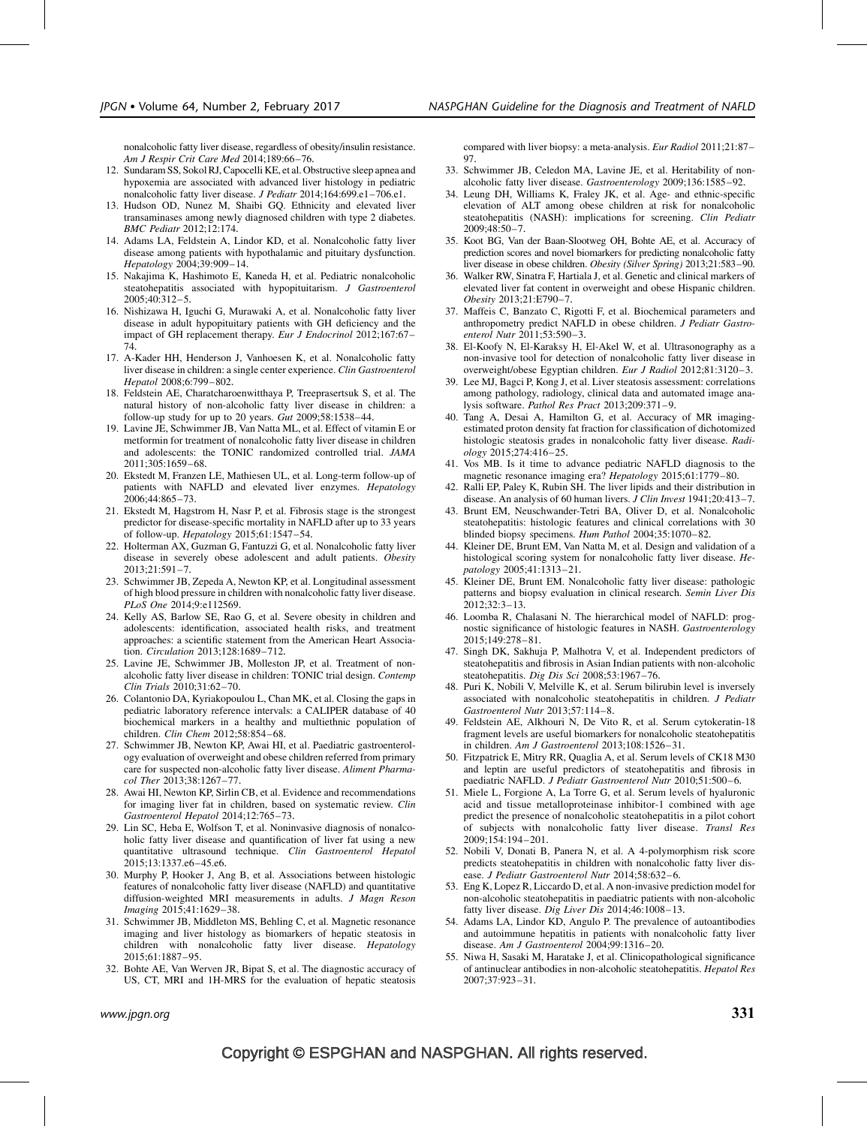nonalcoholic fatty liver disease, regardless of obesity/insulin resistance. Am J Respir Crit Care Med 2014;189:66–76.

- 12. Sundaram SS, Sokol RJ, Capocelli KE, et al. Obstructive sleep apnea and hypoxemia are associated with advanced liver histology in pediatric nonalcoholic fatty liver disease. J Pediatr 2014;164:699.e1-706.e1.
- 13. Hudson OD, Nunez M, Shaibi GQ. Ethnicity and elevated liver transaminases among newly diagnosed children with type 2 diabetes. BMC Pediatr 2012;12:174.
- 14. Adams LA, Feldstein A, Lindor KD, et al. Nonalcoholic fatty liver disease among patients with hypothalamic and pituitary dysfunction. Hepatology 2004;39:909–14.
- 15. Nakajima K, Hashimoto E, Kaneda H, et al. Pediatric nonalcoholic steatohepatitis associated with hypopituitarism. J Gastroenterol 2005;40:312–5.
- 16. Nishizawa H, Iguchi G, Murawaki A, et al. Nonalcoholic fatty liver disease in adult hypopituitary patients with GH deficiency and the impact of GH replacement therapy. Eur J Endocrinol 2012;167:67– 74.
- 17. A-Kader HH, Henderson J, Vanhoesen K, et al. Nonalcoholic fatty liver disease in children: a single center experience. Clin Gastroenterol Hepatol 2008;6:799–802.
- 18. Feldstein AE, Charatcharoenwitthaya P, Treeprasertsuk S, et al. The natural history of non-alcoholic fatty liver disease in children: a follow-up study for up to 20 years. Gut 2009;58:1538–44.
- 19. Lavine JE, Schwimmer JB, Van Natta ML, et al. Effect of vitamin E or metformin for treatment of nonalcoholic fatty liver disease in children and adolescents: the TONIC randomized controlled trial. JAMA 2011;305:1659–68.
- 20. Ekstedt M, Franzen LE, Mathiesen UL, et al. Long-term follow-up of patients with NAFLD and elevated liver enzymes. Hepatology 2006;44:865–73.
- 21. Ekstedt M, Hagstrom H, Nasr P, et al. Fibrosis stage is the strongest predictor for disease-specific mortality in NAFLD after up to 33 years of follow-up. Hepatology 2015;61:1547–54.
- 22. Holterman AX, Guzman G, Fantuzzi G, et al. Nonalcoholic fatty liver disease in severely obese adolescent and adult patients. Obesity 2013;21:591–7.
- 23. Schwimmer JB, Zepeda A, Newton KP, et al. Longitudinal assessment of high blood pressure in children with nonalcoholic fatty liver disease. PLoS One 2014;9:e112569.
- 24. Kelly AS, Barlow SE, Rao G, et al. Severe obesity in children and adolescents: identification, associated health risks, and treatment approaches: a scientific statement from the American Heart Association. Circulation 2013;128:1689–712.
- 25. Lavine JE, Schwimmer JB, Molleston JP, et al. Treatment of nonalcoholic fatty liver disease in children: TONIC trial design. Contemp Clin Trials 2010;31:62–70.
- 26. Colantonio DA, Kyriakopoulou L, Chan MK, et al. Closing the gaps in pediatric laboratory reference intervals: a CALIPER database of 40 biochemical markers in a healthy and multiethnic population of children. Clin Chem 2012;58:854–68.
- 27. Schwimmer JB, Newton KP, Awai HI, et al. Paediatric gastroenterology evaluation of overweight and obese children referred from primary care for suspected non-alcoholic fatty liver disease. Aliment Pharmacol Ther 2013;38:1267–77.
- 28. Awai HI, Newton KP, Sirlin CB, et al. Evidence and recommendations for imaging liver fat in children, based on systematic review. Clin Gastroenterol Hepatol 2014;12:765–73.
- 29. Lin SC, Heba E, Wolfson T, et al. Noninvasive diagnosis of nonalcoholic fatty liver disease and quantification of liver fat using a new quantitative ultrasound technique. Clin Gastroenterol Hepatol 2015;13:1337.e6–45.e6.
- 30. Murphy P, Hooker J, Ang B, et al. Associations between histologic features of nonalcoholic fatty liver disease (NAFLD) and quantitative diffusion-weighted MRI measurements in adults. J Magn Reson Imaging 2015;41:1629–38.
- 31. Schwimmer JB, Middleton MS, Behling C, et al. Magnetic resonance imaging and liver histology as biomarkers of hepatic steatosis in children with nonalcoholic fatty liver disease. Hepatology 2015;61:1887–95.
- 32. Bohte AE, Van Werven JR, Bipat S, et al. The diagnostic accuracy of US, CT, MRI and 1H-MRS for the evaluation of hepatic steatosis

compared with liver biopsy: a meta-analysis. Eur Radiol 2011;21:87– 97.

- 33. Schwimmer JB, Celedon MA, Lavine JE, et al. Heritability of nonalcoholic fatty liver disease. Gastroenterology 2009;136:1585–92.
- 34. Leung DH, Williams K, Fraley JK, et al. Age- and ethnic-specific elevation of ALT among obese children at risk for nonalcoholic steatohepatitis (NASH): implications for screening. Clin Pediatr 2009;48:50–7.
- 35. Koot BG, Van der Baan-Slootweg OH, Bohte AE, et al. Accuracy of prediction scores and novel biomarkers for predicting nonalcoholic fatty liver disease in obese children. Obesity (Silver Spring) 2013;21:583–90.
- 36. Walker RW, Sinatra F, Hartiala J, et al. Genetic and clinical markers of elevated liver fat content in overweight and obese Hispanic children. Obesity 2013;21:E790–7.
- 37. Maffeis C, Banzato C, Rigotti F, et al. Biochemical parameters and anthropometry predict NAFLD in obese children. J Pediatr Gastroenterol Nutr 2011;53:590–3.
- 38. El-Koofy N, El-Karaksy H, El-Akel W, et al. Ultrasonography as a non-invasive tool for detection of nonalcoholic fatty liver disease in overweight/obese Egyptian children. Eur J Radiol 2012;81:3120–3.
- 39. Lee MJ, Bagci P, Kong J, et al. Liver steatosis assessment: correlations among pathology, radiology, clinical data and automated image analysis software. Pathol Res Pract 2013;209:371–9.
- 40. Tang A, Desai A, Hamilton G, et al. Accuracy of MR imagingestimated proton density fat fraction for classification of dichotomized histologic steatosis grades in nonalcoholic fatty liver disease. Radiology 2015;274:416–25.
- 41. Vos MB. Is it time to advance pediatric NAFLD diagnosis to the magnetic resonance imaging era? Hepatology 2015;61:1779–80.
- 42. Ralli EP, Paley K, Rubin SH. The liver lipids and their distribution in disease. An analysis of 60 human livers. J Clin Invest 1941;20:413–7.
- 43. Brunt EM, Neuschwander-Tetri BA, Oliver D, et al. Nonalcoholic steatohepatitis: histologic features and clinical correlations with 30 blinded biopsy specimens. Hum Pathol 2004;35:1070–82.
- 44. Kleiner DE, Brunt EM, Van Natta M, et al. Design and validation of a histological scoring system for nonalcoholic fatty liver disease. Hepatology 2005;41:1313–21.
- 45. Kleiner DE, Brunt EM. Nonalcoholic fatty liver disease: pathologic patterns and biopsy evaluation in clinical research. Semin Liver Dis 2012;32:3–13.
- 46. Loomba R, Chalasani N. The hierarchical model of NAFLD: prognostic significance of histologic features in NASH. Gastroenterology 2015;149:278–81.
- 47. Singh DK, Sakhuja P, Malhotra V, et al. Independent predictors of steatohepatitis and fibrosis in Asian Indian patients with non-alcoholic steatohepatitis. Dig Dis Sci 2008;53:1967–76.
- 48. Puri K, Nobili V, Melville K, et al. Serum bilirubin level is inversely associated with nonalcoholic steatohepatitis in children. J Pediatr Gastroenterol Nutr 2013;57:114–8.
- 49. Feldstein AE, Alkhouri N, De Vito R, et al. Serum cytokeratin-18 fragment levels are useful biomarkers for nonalcoholic steatohepatitis in children. Am J Gastroenterol 2013;108:1526–31.
- 50. Fitzpatrick E, Mitry RR, Quaglia A, et al. Serum levels of CK18 M30 and leptin are useful predictors of steatohepatitis and fibrosis in paediatric NAFLD. J Pediatr Gastroenterol Nutr 2010;51:500–6.
- 51. Miele L, Forgione A, La Torre G, et al. Serum levels of hyaluronic acid and tissue metalloproteinase inhibitor-1 combined with age predict the presence of nonalcoholic steatohepatitis in a pilot cohort of subjects with nonalcoholic fatty liver disease. Transl Res 2009;154:194–201.
- 52. Nobili V, Donati B, Panera N, et al. A 4-polymorphism risk score predicts steatohepatitis in children with nonalcoholic fatty liver disease. J Pediatr Gastroenterol Nutr 2014;58:632–6.
- 53. Eng K, Lopez R, Liccardo D, et al. A non-invasive prediction model for non-alcoholic steatohepatitis in paediatric patients with non-alcoholic fatty liver disease. Dig Liver Dis  $2014;46:1008-13$ .
- 54. Adams LA, Lindor KD, Angulo P. The prevalence of autoantibodies and autoimmune hepatitis in patients with nonalcoholic fatty liver disease. Am J Gastroenterol 2004;99:1316–20.
- 55. Niwa H, Sasaki M, Haratake J, et al. Clinicopathological significance of antinuclear antibodies in non-alcoholic steatohepatitis. Hepatol Res 2007;37:923–31.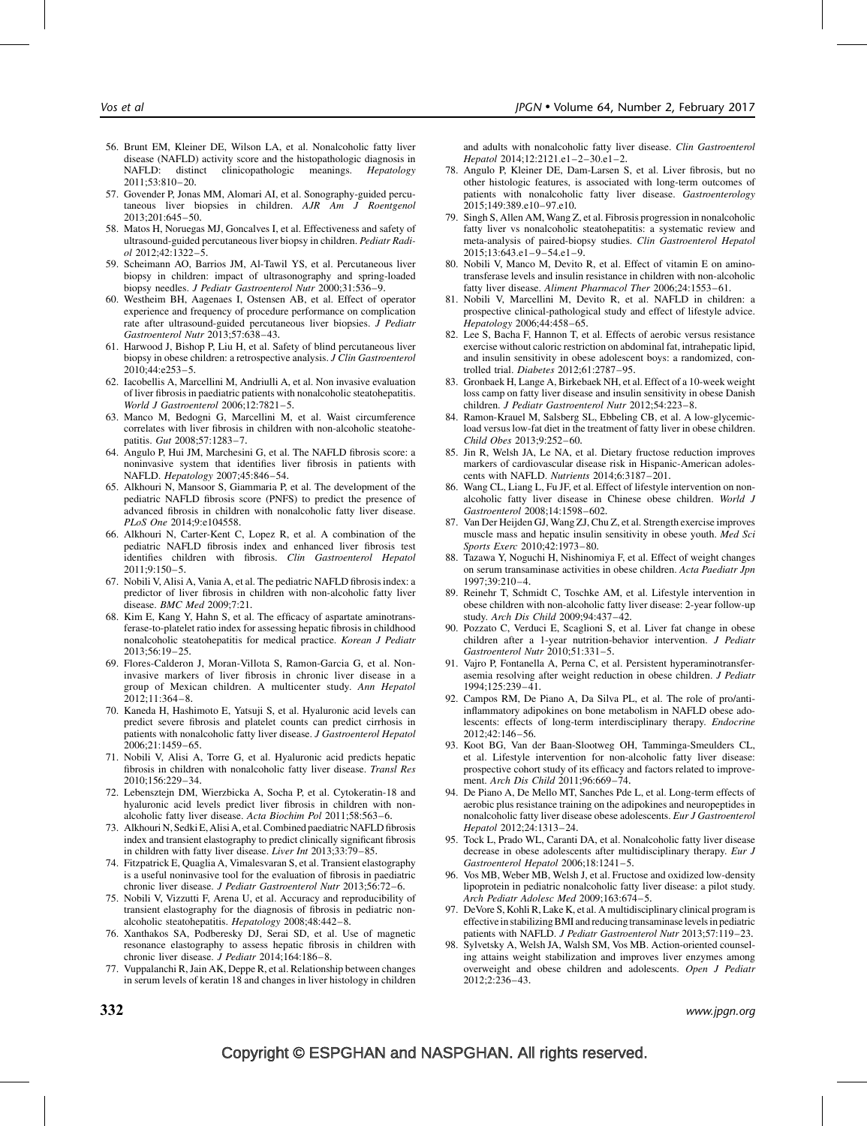- 56. Brunt EM, Kleiner DE, Wilson LA, et al. Nonalcoholic fatty liver disease (NAFLD) activity score and the histopathologic diagnosis in<br>NAFLD: distinct cliniconathologic meanings. Hepatology  $distinct$  clinicopathologic meanings. Hepatology 2011;53:810–20.
- 57. Govender P, Jonas MM, Alomari AI, et al. Sonography-guided percutaneous liver biopsies in children. AJR Am J Roentgenol 2013;201:645–50.
- 58. Matos H, Noruegas MJ, Goncalves I, et al. Effectiveness and safety of ultrasound-guided percutaneous liver biopsy in children. Pediatr Radiol 2012;42:1322–5.
- 59. Scheimann AO, Barrios JM, Al-Tawil YS, et al. Percutaneous liver biopsy in children: impact of ultrasonography and spring-loaded biopsy needles. J Pediatr Gastroenterol Nutr 2000;31:536-9.
- 60. Westheim BH, Aagenaes I, Ostensen AB, et al. Effect of operator experience and frequency of procedure performance on complication rate after ultrasound-guided percutaneous liver biopsies.  $\hat{J}$  Pediatr Gastroenterol Nutr 2013;57:638–43.
- 61. Harwood J, Bishop P, Liu H, et al. Safety of blind percutaneous liver biopsy in obese children: a retrospective analysis. J Clin Gastroenterol 2010;44:e253–5.
- 62. Iacobellis A, Marcellini M, Andriulli A, et al. Non invasive evaluation of liver fibrosis in paediatric patients with nonalcoholic steatohepatitis. World J Gastroenterol 2006;12:7821–5.
- 63. Manco M, Bedogni G, Marcellini M, et al. Waist circumference correlates with liver fibrosis in children with non-alcoholic steatohepatitis. Gut 2008;57:1283–7.
- 64. Angulo P, Hui JM, Marchesini G, et al. The NAFLD fibrosis score: a noninvasive system that identifies liver fibrosis in patients with NAFLD. Hepatology 2007;45:846–54.
- 65. Alkhouri N, Mansoor S, Giammaria P, et al. The development of the pediatric NAFLD fibrosis score (PNFS) to predict the presence of advanced fibrosis in children with nonalcoholic fatty liver disease. PLoS One 2014;9:e104558.
- 66. Alkhouri N, Carter-Kent C, Lopez R, et al. A combination of the pediatric NAFLD fibrosis index and enhanced liver fibrosis test identifies children with fibrosis. Clin Gastroenterol Hepatol 2011;9:150–5.
- 67. Nobili V, Alisi A, Vania A, et al. The pediatric NAFLD fibrosis index: a predictor of liver fibrosis in children with non-alcoholic fatty liver disease. BMC Med 2009;7:21.
- 68. Kim E, Kang Y, Hahn S, et al. The efficacy of aspartate aminotransferase-to-platelet ratio index for assessing hepatic fibrosis in childhood nonalcoholic steatohepatitis for medical practice. Korean J Pediatr 2013;56:19–25.
- 69. Flores-Calderon J, Moran-Villota S, Ramon-Garcia G, et al. Noninvasive markers of liver fibrosis in chronic liver disease in a group of Mexican children. A multicenter study. Ann Hepatol 2012;11:364–8.
- 70. Kaneda H, Hashimoto E, Yatsuji S, et al. Hyaluronic acid levels can predict severe fibrosis and platelet counts can predict cirrhosis in patients with nonalcoholic fatty liver disease. J Gastroenterol Hepatol 2006;21:1459–65.
- 71. Nobili V, Alisi A, Torre G, et al. Hyaluronic acid predicts hepatic fibrosis in children with nonalcoholic fatty liver disease. Transl Res 2010;156:229–34.
- 72. Lebensztejn DM, Wierzbicka A, Socha P, et al. Cytokeratin-18 and hyaluronic acid levels predict liver fibrosis in children with nonalcoholic fatty liver disease. Acta Biochim Pol 2011;58:563–6.
- 73. Alkhouri N, Sedki E, Alisi A, et al. Combined paediatric NAFLD fibrosis index and transient elastography to predict clinically significant fibrosis in children with fatty liver disease. Liver Int 2013;33:79–85.
- 74. Fitzpatrick E, Quaglia A, Vimalesvaran S, et al. Transient elastography is a useful noninvasive tool for the evaluation of fibrosis in paediatric chronic liver disease. J Pediatr Gastroenterol Nutr 2013;56:72–6.
- 75. Nobili V, Vizzutti F, Arena U, et al. Accuracy and reproducibility of transient elastography for the diagnosis of fibrosis in pediatric nonalcoholic steatohepatitis. Hepatology 2008;48:442–8.
- 76. Xanthakos SA, Podberesky DJ, Serai SD, et al. Use of magnetic resonance elastography to assess hepatic fibrosis in children with chronic liver disease. J Pediatr 2014;164:186-8.
- 77. Vuppalanchi R, Jain AK, Deppe R, et al. Relationship between changes in serum levels of keratin 18 and changes in liver histology in children

and adults with nonalcoholic fatty liver disease. Clin Gastroenterol Hepatol 2014;12:2121.e1–2–30.e1–2.

- 78. Angulo P, Kleiner DE, Dam-Larsen S, et al. Liver fibrosis, but no other histologic features, is associated with long-term outcomes of patients with nonalcoholic fatty liver disease. Gastroenterology 2015;149:389.e10–97.e10.
- 79. Singh S, Allen AM, Wang Z, et al. Fibrosis progression in nonalcoholic fatty liver vs nonalcoholic steatohepatitis: a systematic review and meta-analysis of paired-biopsy studies. Clin Gastroenterol Hepatol  $2015;13:643.e1-9-54.e1-9.$
- 80. Nobili V, Manco M, Devito R, et al. Effect of vitamin E on aminotransferase levels and insulin resistance in children with non-alcoholic fatty liver disease. Aliment Pharmacol Ther 2006;24:1553–61.
- 81. Nobili V, Marcellini M, Devito R, et al. NAFLD in children: a prospective clinical-pathological study and effect of lifestyle advice. Hepatology 2006;44:458–65.
- 82. Lee S, Bacha F, Hannon T, et al. Effects of aerobic versus resistance exercise without caloric restriction on abdominal fat, intrahepatic lipid, and insulin sensitivity in obese adolescent boys: a randomized, controlled trial. Diabetes 2012;61:2787–95.
- 83. Gronbaek H, Lange A, Birkebaek NH, et al. Effect of a 10-week weight loss camp on fatty liver disease and insulin sensitivity in obese Danish children. J Pediatr Gastroenterol Nutr 2012;54:223–8.
- 84. Ramon-Krauel M, Salsberg SL, Ebbeling CB, et al. A low-glycemicload versus low-fat diet in the treatment of fatty liver in obese children. Child Obes 2013;9:252–60.
- 85. Jin R, Welsh JA, Le NA, et al. Dietary fructose reduction improves markers of cardiovascular disease risk in Hispanic-American adolescents with NAFLD. Nutrients 2014;6:3187–201.
- 86. Wang CL, Liang L, Fu JF, et al. Effect of lifestyle intervention on nonalcoholic fatty liver disease in Chinese obese children. World J Gastroenterol 2008;14:1598–602.
- 87. Van Der Heijden GJ, Wang ZJ, Chu Z, et al. Strength exercise improves muscle mass and hepatic insulin sensitivity in obese youth. Med Sci Sports Exerc 2010;42:1973–80.
- 88. Tazawa Y, Noguchi H, Nishinomiya F, et al. Effect of weight changes on serum transaminase activities in obese children. Acta Paediatr Jpn 1997;39:210–4.
- 89. Reinehr T, Schmidt C, Toschke AM, et al. Lifestyle intervention in obese children with non-alcoholic fatty liver disease: 2-year follow-up study. Arch Dis Child 2009;94:437–42.
- 90. Pozzato C, Verduci E, Scaglioni S, et al. Liver fat change in obese children after a 1-year nutrition-behavior intervention. J Pediatr Gastroenterol Nutr 2010;51:331–5.
- 91. Vajro P, Fontanella A, Perna C, et al. Persistent hyperaminotransferasemia resolving after weight reduction in obese children. J Pediatr 1994;125:239–41.
- 92. Campos RM, De Piano A, Da Silva PL, et al. The role of pro/antiinflammatory adipokines on bone metabolism in NAFLD obese adolescents: effects of long-term interdisciplinary therapy. Endocrine 2012;42:146–56.
- 93. Koot BG, Van der Baan-Slootweg OH, Tamminga-Smeulders CL, et al. Lifestyle intervention for non-alcoholic fatty liver disease: prospective cohort study of its efficacy and factors related to improvement. Arch Dis Child 2011;96:669–74.
- 94. De Piano A, De Mello MT, Sanches Pde L, et al. Long-term effects of aerobic plus resistance training on the adipokines and neuropeptides in nonalcoholic fatty liver disease obese adolescents. Eur J Gastroenterol Hepatol 2012;24:1313–24.
- 95. Tock L, Prado WL, Caranti DA, et al. Nonalcoholic fatty liver disease decrease in obese adolescents after multidisciplinary therapy. Eur J Gastroenterol Hepatol 2006;18:1241–5.
- 96. Vos MB, Weber MB, Welsh J, et al. Fructose and oxidized low-density lipoprotein in pediatric nonalcoholic fatty liver disease: a pilot study. Arch Pediatr Adolesc Med 2009;163:674–5.
- 97. DeVore S, Kohli R, Lake K, et al. A multidisciplinary clinical program is effective in stabilizing BMI and reducing transaminase levels in pediatric patients with NAFLD. J Pediatr Gastroenterol Nutr 2013;57:119–23.
- 98. Sylvetsky A, Welsh JA, Walsh SM, Vos MB. Action-oriented counseling attains weight stabilization and improves liver enzymes among overweight and obese children and adolescents. Open J Pediatr 2012;2:236–43.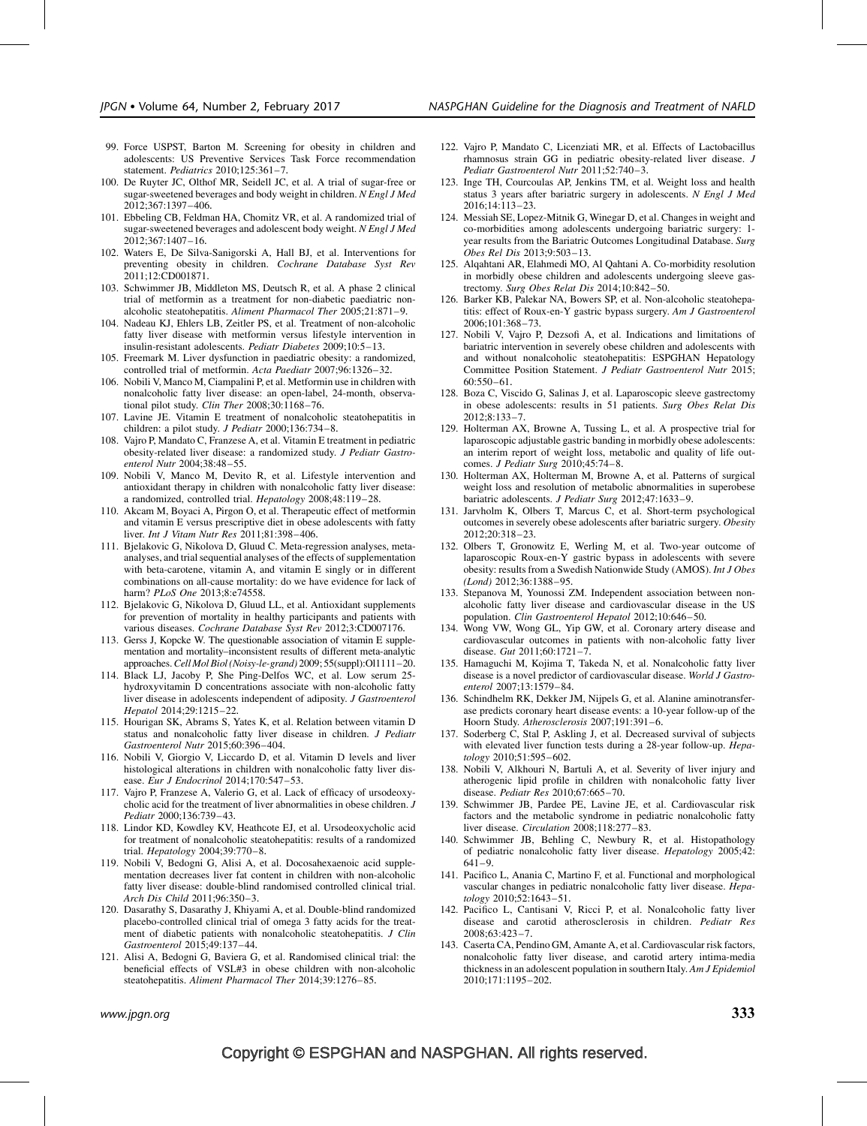- 99. Force USPST, Barton M. Screening for obesity in children and adolescents: US Preventive Services Task Force recommendation statement. Pediatrics 2010;125:361–7.
- 100. De Ruyter JC, Olthof MR, Seidell JC, et al. A trial of sugar-free or sugar-sweetened beverages and body weight in children.  $N$  Engl J Med 2012;367:1397–406.
- 101. Ebbeling CB, Feldman HA, Chomitz VR, et al. A randomized trial of sugar-sweetened beverages and adolescent body weight. N Engl J Med 2012;367:1407–16.
- 102. Waters E, De Silva-Sanigorski A, Hall BJ, et al. Interventions for preventing obesity in children. Cochrane Database Syst Rev 2011;12:CD001871.
- 103. Schwimmer JB, Middleton MS, Deutsch R, et al. A phase 2 clinical trial of metformin as a treatment for non-diabetic paediatric nonalcoholic steatohepatitis. Aliment Pharmacol Ther 2005;21:871–9.
- 104. Nadeau KJ, Ehlers LB, Zeitler PS, et al. Treatment of non-alcoholic fatty liver disease with metformin versus lifestyle intervention in insulin-resistant adolescents. Pediatr Diabetes 2009;10:5–13.
- 105. Freemark M. Liver dysfunction in paediatric obesity: a randomized, controlled trial of metformin. Acta Paediatr 2007;96:1326–32.
- 106. Nobili V, Manco M, Ciampalini P, et al. Metformin use in children with nonalcoholic fatty liver disease: an open-label, 24-month, observational pilot study. Clin Ther 2008;30:1168–76.
- 107. Lavine JE. Vitamin E treatment of nonalcoholic steatohepatitis in children: a pilot study. J Pediatr 2000;136:734-8.
- 108. Vajro P, Mandato C, Franzese A, et al. Vitamin E treatment in pediatric obesity-related liver disease: a randomized study. J Pediatr Gastroenterol Nutr 2004;38:48–55.
- 109. Nobili V, Manco M, Devito R, et al. Lifestyle intervention and antioxidant therapy in children with nonalcoholic fatty liver disease: a randomized, controlled trial. Hepatology 2008;48:119–28.
- 110. Akcam M, Boyaci A, Pirgon O, et al. Therapeutic effect of metformin and vitamin E versus prescriptive diet in obese adolescents with fatty liver. Int J Vitam Nutr Res 2011;81:398–406.
- 111. Bjelakovic G, Nikolova D, Gluud C. Meta-regression analyses, metaanalyses, and trial sequential analyses of the effects of supplementation with beta-carotene, vitamin A, and vitamin E singly or in different combinations on all-cause mortality: do we have evidence for lack of harm? PLoS One 2013;8:e74558.
- 112. Bjelakovic G, Nikolova D, Gluud LL, et al. Antioxidant supplements for prevention of mortality in healthy participants and patients with various diseases. Cochrane Database Syst Rev 2012;3:CD007176.
- 113. Gerss J, Kopcke W. The questionable association of vitamin E supplementation and mortality–inconsistent results of different meta-analytic approaches. Cell Mol Biol (Noisy-le-grand) 2009; 55(suppl):Ol1111-20.
- 114. Black LJ, Jacoby P, She Ping-Delfos WC, et al. Low serum 25 hydroxyvitamin D concentrations associate with non-alcoholic fatty liver disease in adolescents independent of adiposity. J Gastroenterol Hepatol 2014;29:1215–22.
- 115. Hourigan SK, Abrams S, Yates K, et al. Relation between vitamin D status and nonalcoholic fatty liver disease in children. J Pediatr Gastroenterol Nutr 2015;60:396–404.
- 116. Nobili V, Giorgio V, Liccardo D, et al. Vitamin D levels and liver histological alterations in children with nonalcoholic fatty liver disease. Eur J Endocrinol 2014;170:547-53.
- 117. Vajro P, Franzese A, Valerio G, et al. Lack of efficacy of ursodeoxycholic acid for the treatment of liver abnormalities in obese children. J Pediatr 2000;136:739–43.
- 118. Lindor KD, Kowdley KV, Heathcote EJ, et al. Ursodeoxycholic acid for treatment of nonalcoholic steatohepatitis: results of a randomized trial. Hepatology 2004;39:770–8.
- 119. Nobili V, Bedogni G, Alisi A, et al. Docosahexaenoic acid supplementation decreases liver fat content in children with non-alcoholic fatty liver disease: double-blind randomised controlled clinical trial. Arch Dis Child 2011;96:350–3.
- 120. Dasarathy S, Dasarathy J, Khiyami A, et al. Double-blind randomized placebo-controlled clinical trial of omega 3 fatty acids for the treatment of diabetic patients with nonalcoholic steatohepatitis. J Clin Gastroenterol 2015;49:137–44.
- 121. Alisi A, Bedogni G, Baviera G, et al. Randomised clinical trial: the beneficial effects of VSL#3 in obese children with non-alcoholic steatohepatitis. Aliment Pharmacol Ther 2014;39:1276–85.
- 122. Vajro P, Mandato C, Licenziati MR, et al. Effects of Lactobacillus rhamnosus strain GG in pediatric obesity-related liver disease. J Pediatr Gastroenterol Nutr 2011;52:740–3.
- 123. Inge TH, Courcoulas AP, Jenkins TM, et al. Weight loss and health status 3 years after bariatric surgery in adolescents. N Engl J Med  $2016:14:113-23$
- 124. Messiah SE, Lopez-Mitnik G, Winegar D, et al. Changes in weight and co-morbidities among adolescents undergoing bariatric surgery: 1 year results from the Bariatric Outcomes Longitudinal Database. Surg Obes Rel Dis 2013;9:503–13.
- 125. Alqahtani AR, Elahmedi MO, Al Qahtani A. Co-morbidity resolution in morbidly obese children and adolescents undergoing sleeve gastrectomy. Surg Obes Relat Dis 2014;10:842–50.
- 126. Barker KB, Palekar NA, Bowers SP, et al. Non-alcoholic steatohepatitis: effect of Roux-en-Y gastric bypass surgery. Am J Gastroenterol 2006;101:368–73.
- 127. Nobili V, Vajro P, Dezsofi A, et al. Indications and limitations of bariatric intervention in severely obese children and adolescents with and without nonalcoholic steatohepatitis: ESPGHAN Hepatology Committee Position Statement. J Pediatr Gastroenterol Nutr 2015; 60:550–61.
- 128. Boza C, Viscido G, Salinas J, et al. Laparoscopic sleeve gastrectomy in obese adolescents: results in 51 patients. Surg Obes Relat Dis 2012;8:133–7.
- 129. Holterman AX, Browne A, Tussing L, et al. A prospective trial for laparoscopic adjustable gastric banding in morbidly obese adolescents: an interim report of weight loss, metabolic and quality of life outcomes. J Pediatr Surg 2010;45:74–8.
- 130. Holterman AX, Holterman M, Browne A, et al. Patterns of surgical weight loss and resolution of metabolic abnormalities in superobese bariatric adolescents. J Pediatr Surg 2012;47:1633–9.
- 131. Jarvholm K, Olbers T, Marcus C, et al. Short-term psychological outcomes in severely obese adolescents after bariatric surgery. Obesity 2012;20:318–23.
- 132. Olbers T, Gronowitz E, Werling M, et al. Two-year outcome of laparoscopic Roux-en-Y gastric bypass in adolescents with severe obesity: results from a Swedish Nationwide Study (AMOS). Int J Obes (Lond) 2012;36:1388–95.
- 133. Stepanova M, Younossi ZM. Independent association between nonalcoholic fatty liver disease and cardiovascular disease in the US population. Clin Gastroenterol Hepatol 2012;10:646–50.
- 134. Wong VW, Wong GL, Yip GW, et al. Coronary artery disease and cardiovascular outcomes in patients with non-alcoholic fatty liver disease. Gut 2011;60:1721–7.
- 135. Hamaguchi M, Kojima T, Takeda N, et al. Nonalcoholic fatty liver disease is a novel predictor of cardiovascular disease. World J Gastroenterol 2007;13:1579–84.
- 136. Schindhelm RK, Dekker JM, Nijpels G, et al. Alanine aminotransferase predicts coronary heart disease events: a 10-year follow-up of the Hoorn Study. Atherosclerosis 2007;191:391–6.
- 137. Soderberg C, Stal P, Askling J, et al. Decreased survival of subjects with elevated liver function tests during a 28-year follow-up. *Hepa*tology 2010;51:595–602.
- 138. Nobili V, Alkhouri N, Bartuli A, et al. Severity of liver injury and atherogenic lipid profile in children with nonalcoholic fatty liver disease. Pediatr Res 2010;67:665–70.
- 139. Schwimmer JB, Pardee PE, Lavine JE, et al. Cardiovascular risk factors and the metabolic syndrome in pediatric nonalcoholic fatty liver disease. Circulation 2008;118:277–83.
- 140. Schwimmer JB, Behling C, Newbury R, et al. Histopathology of pediatric nonalcoholic fatty liver disease. Hepatology 2005;42: 641–9.
- 141. Pacifico L, Anania C, Martino F, et al. Functional and morphological vascular changes in pediatric nonalcoholic fatty liver disease. Hepatology 2010;52:1643–51.
- 142. Pacifico L, Cantisani V, Ricci P, et al. Nonalcoholic fatty liver disease and carotid atherosclerosis in children. Pediatr Res 2008;63:423–7.
- 143. Caserta CA, Pendino GM, Amante A, et al. Cardiovascular risk factors, nonalcoholic fatty liver disease, and carotid artery intima-media thickness in an adolescent population in southern Italy. Am J Epidemiol 2010;171:1195–202.